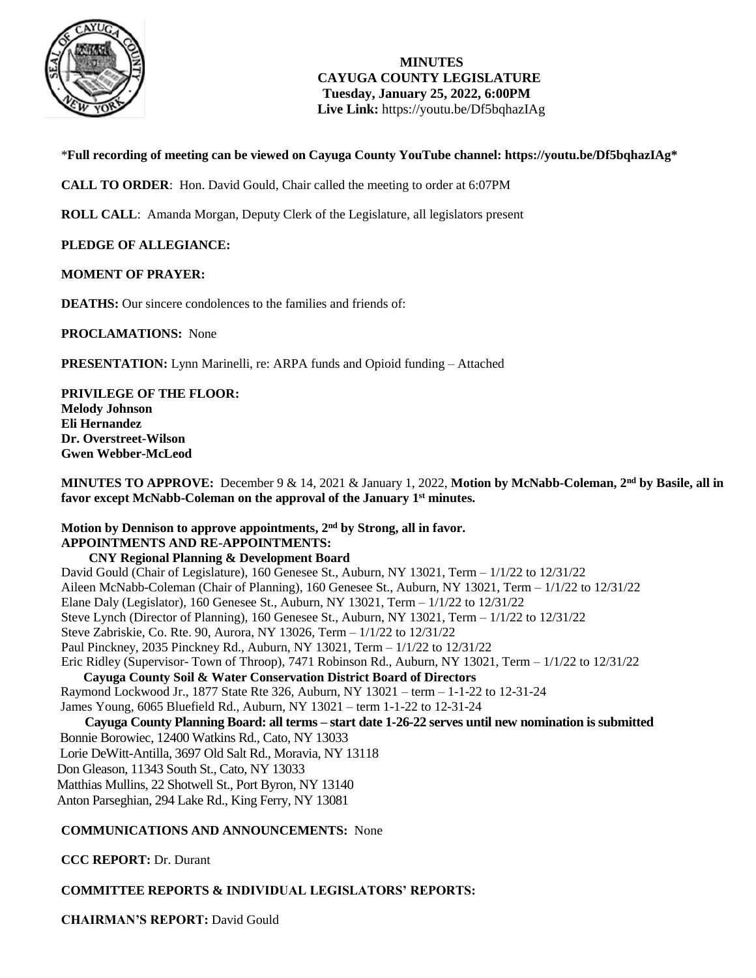

**MINUTES CAYUGA COUNTY LEGISLATURE Tuesday, January 25, 2022, 6:00PM Live Link:** <https://youtu.be/Df5bqhazIAg>

\***Full recording of meeting can be viewed on Cayuga County YouTube channel: [https://youtu.be/Df5bqhazIAg\\*](https://youtu.be/Df5bqhazIAg)**

**CALL TO ORDER**: Hon. David Gould, Chair called the meeting to order at 6:07PM

**ROLL CALL**: Amanda Morgan, Deputy Clerk of the Legislature, all legislators present

**PLEDGE OF ALLEGIANCE:** 

#### **MOMENT OF PRAYER:**

**DEATHS:** Our sincere condolences to the families and friends of:

**PROCLAMATIONS:** None

**PRESENTATION:** Lynn Marinelli, re: ARPA funds and Opioid funding – Attached

**PRIVILEGE OF THE FLOOR: Melody Johnson Eli Hernandez Dr. Overstreet-Wilson Gwen Webber-McLeod**

**MINUTES TO APPROVE:** December 9 & 14, 2021 & January 1, 2022, **Motion by McNabb-Coleman, 2nd by Basile, all in favor except McNabb-Coleman on the approval of the January 1st minutes.** 

### **Motion by Dennison to approve appointments, 2nd by Strong, all in favor. APPOINTMENTS AND RE-APPOINTMENTS:**

**CNY Regional Planning & Development Board**  David Gould (Chair of Legislature), 160 Genesee St., Auburn, NY 13021, Term – 1/1/22 to 12/31/22 Aileen McNabb-Coleman (Chair of Planning), 160 Genesee St., Auburn, NY 13021, Term – 1/1/22 to 12/31/22 Elane Daly (Legislator), 160 Genesee St., Auburn, NY 13021, Term  $-1/1/22$  to  $12/31/22$ Steve Lynch (Director of Planning), 160 Genesee St., Auburn, NY 13021, Term – 1/1/22 to 12/31/22 Steve Zabriskie, Co. Rte. 90, Aurora, NY 13026, Term – 1/1/22 to 12/31/22 Paul Pinckney, 2035 Pinckney Rd., Auburn, NY 13021, Term – 1/1/22 to 12/31/22 Eric Ridley (Supervisor- Town of Throop), 7471 Robinson Rd., Auburn, NY 13021, Term – 1/1/22 to 12/31/22 **Cayuga County Soil & Water Conservation District Board of Directors** Raymond Lockwood Jr., 1877 State Rte 326, Auburn, NY 13021 – term – 1-1-22 to 12-31-24 James Young, 6065 Bluefield Rd., Auburn, NY 13021 – term 1-1-22 to 12-31-24  **Cayuga County Planning Board: all terms – start date 1-26-22 serves until new nomination is submitted**

 Bonnie Borowiec, 12400 Watkins Rd., Cato, NY 13033 Lorie DeWitt-Antilla, 3697 Old Salt Rd., Moravia, NY 13118 Don Gleason, 11343 South St., Cato, NY 13033 Matthias Mullins, 22 Shotwell St., Port Byron, NY 13140 Anton Parseghian, 294 Lake Rd., King Ferry, NY 13081

#### **COMMUNICATIONS AND ANNOUNCEMENTS:** None

**CCC REPORT:** Dr. Durant

### **COMMITTEE REPORTS & INDIVIDUAL LEGISLATORS' REPORTS:**

**CHAIRMAN'S REPORT:** David Gould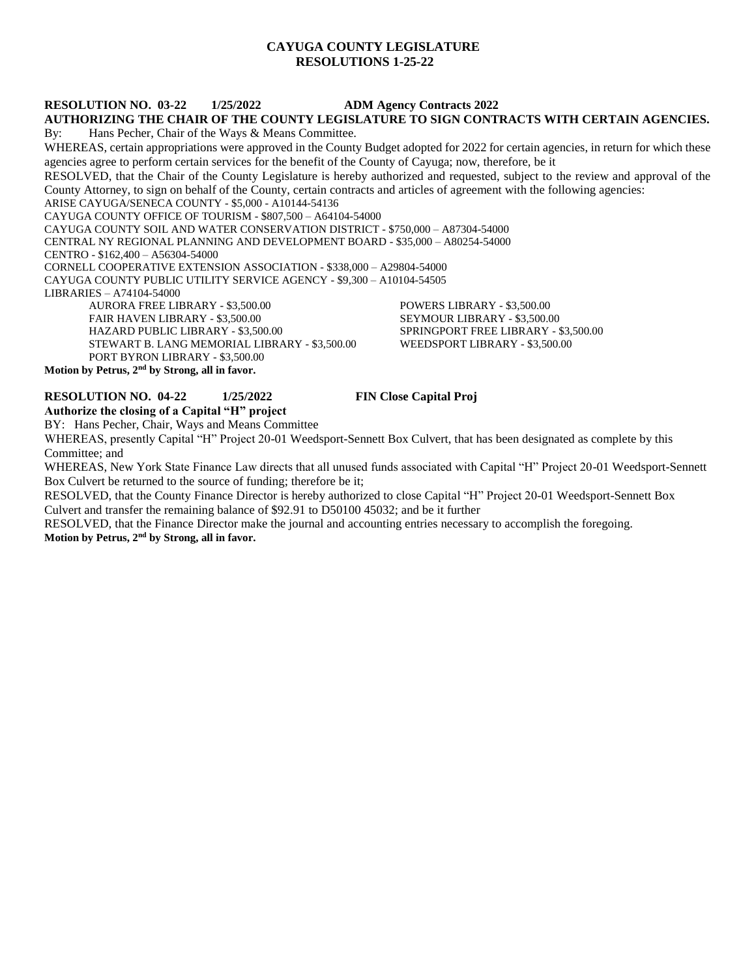#### **CAYUGA COUNTY LEGISLATURE RESOLUTIONS 1-25-22**

#### **RESOLUTION NO. 03-22 1/25/2022 ADM Agency Contracts 2022**

#### **AUTHORIZING THE CHAIR OF THE COUNTY LEGISLATURE TO SIGN CONTRACTS WITH CERTAIN AGENCIES.** By: Hans Pecher, Chair of the Ways & Means Committee.

WHEREAS, certain appropriations were approved in the County Budget adopted for 2022 for certain agencies, in return for which these agencies agree to perform certain services for the benefit of the County of Cayuga; now, therefore, be it RESOLVED, that the Chair of the County Legislature is hereby authorized and requested, subject to the review and approval of the County Attorney, to sign on behalf of the County, certain contracts and articles of agreement with the following agencies: ARISE CAYUGA/SENECA COUNTY - \$5,000 - A10144-54136 CAYUGA COUNTY OFFICE OF TOURISM - \$807,500 – A64104-54000 CAYUGA COUNTY SOIL AND WATER CONSERVATION DISTRICT - \$750,000 – A87304-54000 CENTRAL NY REGIONAL PLANNING AND DEVELOPMENT BOARD - \$35,000 – A80254-54000

CENTRO - \$162,400 – A56304-54000

CORNELL COOPERATIVE EXTENSION ASSOCIATION - \$338,000 – A29804-54000 CAYUGA COUNTY PUBLIC UTILITY SERVICE AGENCY - \$9,300 – A10104-54505

LIBRARIES – A74104-54000

AURORA FREE LIBRARY - \$3,500.00 POWERS LIBRARY - \$3,500.00 FAIR HAVEN LIBRARY - \$3,500.00 SEYMOUR LIBRARY - \$3,500.00 HAZARD PUBLIC LIBRARY - \$3,500.00 SPRINGPORT FREE LIBRARY - \$3,500.00 STEWART B. LANG MEMORIAL LIBRARY - \$3,500.00 WEEDSPORT LIBRARY - \$3,500.00 PORT BYRON LIBRARY - \$3,500.00 **Motion by Petrus, 2nd by Strong, all in favor.** 

#### **RESOLUTION NO. 04-22 1/25/2022 FIN Close Capital Proj**

**Authorize the closing of a Capital "H" project** BY: Hans Pecher, Chair, Ways and Means Committee

WHEREAS, presently Capital "H" Project 20-01 Weedsport-Sennett Box Culvert, that has been designated as complete by this Committee; and

WHEREAS, New York State Finance Law directs that all unused funds associated with Capital "H" Project 20-01 Weedsport-Sennett Box Culvert be returned to the source of funding; therefore be it;

RESOLVED, that the County Finance Director is hereby authorized to close Capital "H" Project 20-01 Weedsport-Sennett Box Culvert and transfer the remaining balance of \$92.91 to D50100 45032; and be it further

RESOLVED, that the Finance Director make the journal and accounting entries necessary to accomplish the foregoing. **Motion by Petrus, 2nd by Strong, all in favor.**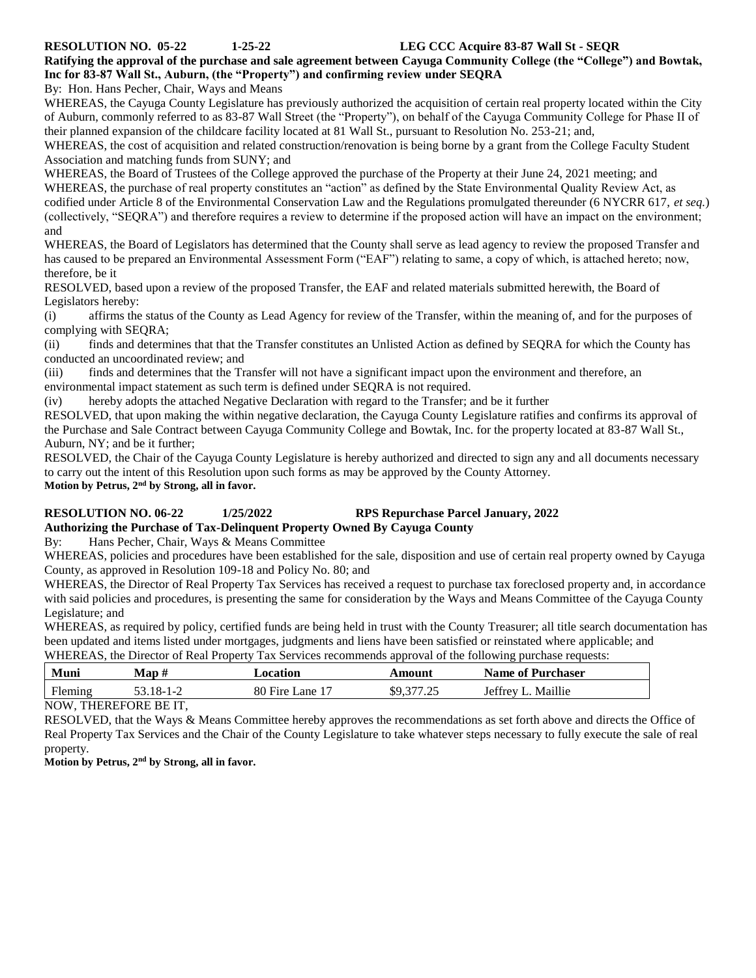**RESOLUTION NO. 05-22 1-25-22 LEG CCC Acquire 83-87 Wall St - SEQR**

**Ratifying the approval of the purchase and sale agreement between Cayuga Community College (the "College") and Bowtak, Inc for 83-87 Wall St., Auburn, (the "Property") and confirming review under SEQRA**

By: Hon. Hans Pecher, Chair, Ways and Means

WHEREAS, the Cayuga County Legislature has previously authorized the acquisition of certain real property located within the City of Auburn, commonly referred to as 83-87 Wall Street (the "Property"), on behalf of the Cayuga Community College for Phase II of their planned expansion of the childcare facility located at 81 Wall St., pursuant to Resolution No. 253-21; and,

WHEREAS, the cost of acquisition and related construction/renovation is being borne by a grant from the College Faculty Student Association and matching funds from SUNY; and

WHEREAS, the Board of Trustees of the College approved the purchase of the Property at their June 24, 2021 meeting; and WHEREAS, the purchase of real property constitutes an "action" as defined by the State Environmental Quality Review Act, as codified under Article 8 of the Environmental Conservation Law and the Regulations promulgated thereunder (6 NYCRR 617, *et seq.*) (collectively, "SEQRA") and therefore requires a review to determine if the proposed action will have an impact on the environment; and

WHEREAS, the Board of Legislators has determined that the County shall serve as lead agency to review the proposed Transfer and has caused to be prepared an Environmental Assessment Form ("EAF") relating to same, a copy of which, is attached hereto; now, therefore, be it

RESOLVED, based upon a review of the proposed Transfer, the EAF and related materials submitted herewith, the Board of Legislators hereby:

(i) affirms the status of the County as Lead Agency for review of the Transfer, within the meaning of, and for the purposes of complying with SEQRA;

(ii) finds and determines that that the Transfer constitutes an Unlisted Action as defined by SEQRA for which the County has conducted an uncoordinated review; and

(iii) finds and determines that the Transfer will not have a significant impact upon the environment and therefore, an environmental impact statement as such term is defined under SEQRA is not required.

(iv) hereby adopts the attached Negative Declaration with regard to the Transfer; and be it further

RESOLVED, that upon making the within negative declaration, the Cayuga County Legislature ratifies and confirms its approval of the Purchase and Sale Contract between Cayuga Community College and Bowtak, Inc. for the property located at 83-87 Wall St., Auburn, NY; and be it further;

RESOLVED, the Chair of the Cayuga County Legislature is hereby authorized and directed to sign any and all documents necessary to carry out the intent of this Resolution upon such forms as may be approved by the County Attorney. **Motion by Petrus, 2nd by Strong, all in favor.**

#### **RESOLUTION NO. 06-22 1/25/2022 RPS Repurchase Parcel January, 2022 Authorizing the Purchase of Tax-Delinquent Property Owned By Cayuga County**

By: Hans Pecher, Chair, Ways & Means Committee

WHEREAS, policies and procedures have been established for the sale, disposition and use of certain real property owned by Cayuga County, as approved in Resolution 109-18 and Policy No. 80; and

WHEREAS, the Director of Real Property Tax Services has received a request to purchase tax foreclosed property and, in accordance with said policies and procedures, is presenting the same for consideration by the Ways and Means Committee of the Cayuga County Legislature; and

WHEREAS, as required by policy, certified funds are being held in trust with the County Treasurer; all title search documentation has been updated and items listed under mortgages, judgments and liens have been satisfied or reinstated where applicable; and WHEREAS, the Director of Real Property Tax Services recommends approval of the following purchase requests:

| Muni    | Man :     | Location                    | Amount            | <b>Name of Purchaser</b> |
|---------|-----------|-----------------------------|-------------------|--------------------------|
| Fleming | 53.18-1-2 | 80 Fire Lane 1 <sup>7</sup> | ዩ <u>ባ 377 25</u> | Maillie<br>Jeffrey J     |

NOW, THEREFORE BE IT,

RESOLVED, that the Ways & Means Committee hereby approves the recommendations as set forth above and directs the Office of Real Property Tax Services and the Chair of the County Legislature to take whatever steps necessary to fully execute the sale of real property.

**Motion by Petrus, 2nd by Strong, all in favor.**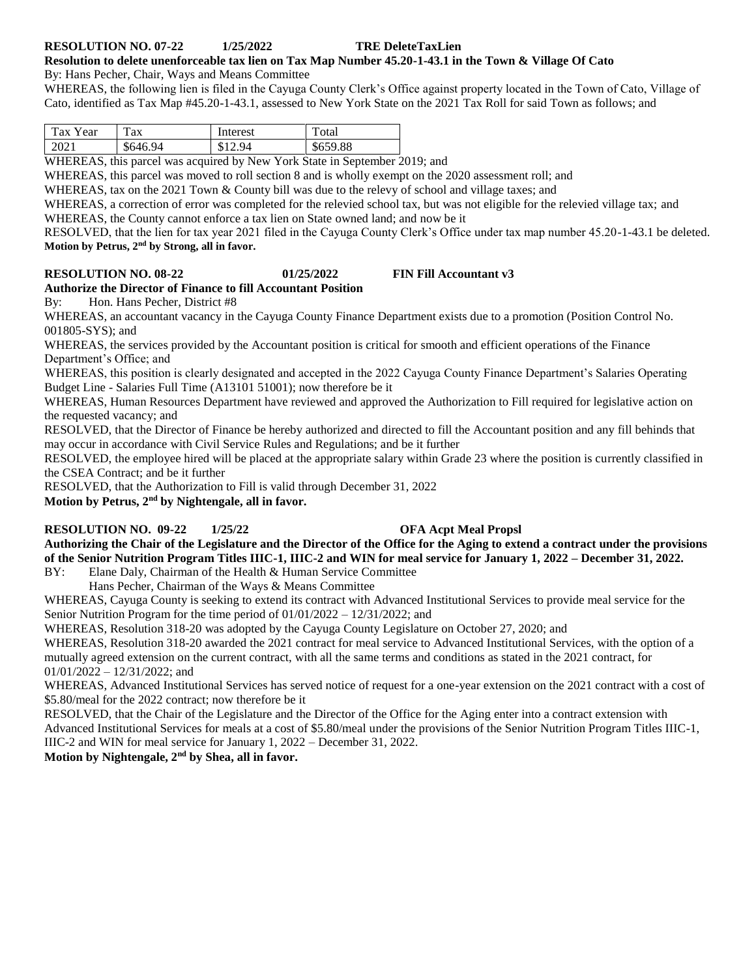### **RESOLUTION NO. 07-22 1/25/2022 TRE DeleteTaxLien**

### **Resolution to delete unenforceable tax lien on Tax Map Number 45.20-1-43.1 in the Town & Village Of Cato**

By: Hans Pecher, Chair, Ways and Means Committee

WHEREAS, the following lien is filed in the Cayuga County Clerk's Office against property located in the Town of Cato, Village of Cato, identified as Tax Map #45.20-1-43.1, assessed to New York State on the 2021 Tax Roll for said Town as follows; and

| $\mathbf{r}$<br>`аx<br>Year | m<br>`ax | Interest | otal           |
|-----------------------------|----------|----------|----------------|
| 2021                        | \$646.94 | 94<br>œ  | 659.88<br>のしララ |

WHEREAS, this parcel was acquired by New York State in September 2019; and

WHEREAS, this parcel was moved to roll section 8 and is wholly exempt on the 2020 assessment roll; and

WHEREAS, tax on the 2021 Town & County bill was due to the relevy of school and village taxes; and

WHEREAS, a correction of error was completed for the relevied school tax, but was not eligible for the relevied village tax; and WHEREAS, the County cannot enforce a tax lien on State owned land; and now be it

RESOLVED, that the lien for tax year 2021 filed in the Cayuga County Clerk's Office under tax map number 45.20-1-43.1 be deleted. **Motion by Petrus, 2nd by Strong, all in favor.**

#### **RESOLUTION NO. 08-22 01/25/2022 FIN Fill Accountant v3**

**Authorize the Director of Finance to fill Accountant Position** By: Hon. Hans Pecher, District #8

WHEREAS, an accountant vacancy in the Cayuga County Finance Department exists due to a promotion (Position Control No. 001805-SYS); and

WHEREAS, the services provided by the Accountant position is critical for smooth and efficient operations of the Finance Department's Office; and

WHEREAS, this position is clearly designated and accepted in the 2022 Cayuga County Finance Department's Salaries Operating Budget Line - Salaries Full Time (A13101 51001); now therefore be it

WHEREAS, Human Resources Department have reviewed and approved the Authorization to Fill required for legislative action on the requested vacancy; and

RESOLVED, that the Director of Finance be hereby authorized and directed to fill the Accountant position and any fill behinds that may occur in accordance with Civil Service Rules and Regulations; and be it further

RESOLVED, the employee hired will be placed at the appropriate salary within Grade 23 where the position is currently classified in the CSEA Contract; and be it further

RESOLVED, that the Authorization to Fill is valid through December 31, 2022

**Motion by Petrus, 2nd by Nightengale, all in favor.** 

### **RESOLUTION NO. 09-22 1/25/22 OFA Acpt Meal Propsl**

**Authorizing the Chair of the Legislature and the Director of the Office for the Aging to extend a contract under the provisions of the Senior Nutrition Program Titles IIIC-1, IIIC-2 and WIN for meal service for January 1, 2022 – December 31, 2022.** 

BY: Elane Daly, Chairman of the Health & Human Service Committee

Hans Pecher, Chairman of the Ways & Means Committee

WHEREAS, Cayuga County is seeking to extend its contract with Advanced Institutional Services to provide meal service for the Senior Nutrition Program for the time period of 01/01/2022 – 12/31/2022; and

WHEREAS, Resolution 318-20 was adopted by the Cayuga County Legislature on October 27, 2020; and

WHEREAS, Resolution 318-20 awarded the 2021 contract for meal service to Advanced Institutional Services, with the option of a mutually agreed extension on the current contract, with all the same terms and conditions as stated in the 2021 contract, for 01/01/2022 – 12/31/2022; and

WHEREAS, Advanced Institutional Services has served notice of request for a one-year extension on the 2021 contract with a cost of \$5.80/meal for the 2022 contract; now therefore be it

RESOLVED, that the Chair of the Legislature and the Director of the Office for the Aging enter into a contract extension with Advanced Institutional Services for meals at a cost of \$5.80/meal under the provisions of the Senior Nutrition Program Titles IIIC-1, IIIC-2 and WIN for meal service for January 1, 2022 – December 31, 2022.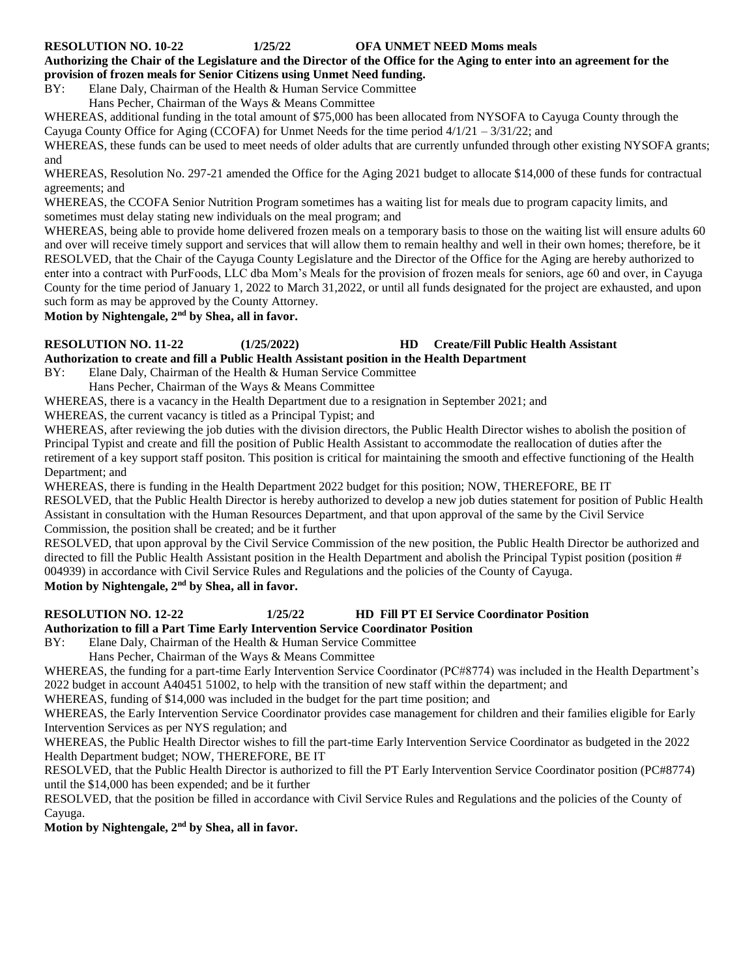#### **RESOLUTION NO. 10-22 1/25/22 OFA UNMET NEED Moms meals**

**Authorizing the Chair of the Legislature and the Director of the Office for the Aging to enter into an agreement for the provision of frozen meals for Senior Citizens using Unmet Need funding.**

BY: Elane Daly, Chairman of the Health & Human Service Committee

Hans Pecher, Chairman of the Ways & Means Committee

WHEREAS, additional funding in the total amount of \$75,000 has been allocated from NYSOFA to Cayuga County through the Cayuga County Office for Aging (CCOFA) for Unmet Needs for the time period  $4/1/21 - 3/31/22$ ; and

WHEREAS, these funds can be used to meet needs of older adults that are currently unfunded through other existing NYSOFA grants; and

WHEREAS, Resolution No. 297-21 amended the Office for the Aging 2021 budget to allocate \$14,000 of these funds for contractual agreements; and

WHEREAS, the CCOFA Senior Nutrition Program sometimes has a waiting list for meals due to program capacity limits, and sometimes must delay stating new individuals on the meal program; and

WHEREAS, being able to provide home delivered frozen meals on a temporary basis to those on the waiting list will ensure adults 60 and over will receive timely support and services that will allow them to remain healthy and well in their own homes; therefore, be it RESOLVED, that the Chair of the Cayuga County Legislature and the Director of the Office for the Aging are hereby authorized to enter into a contract with PurFoods, LLC dba Mom's Meals for the provision of frozen meals for seniors, age 60 and over, in Cayuga County for the time period of January 1, 2022 to March 31,2022, or until all funds designated for the project are exhausted, and upon such form as may be approved by the County Attorney.

**Motion by Nightengale, 2nd by Shea, all in favor.** 

#### **RESOLUTION NO. 11-22 (1/25/2022) HD Create/Fill Public Health Assistant Authorization to create and fill a Public Health Assistant position in the Health Department**

BY: Elane Daly, Chairman of the Health & Human Service Committee

Hans Pecher, Chairman of the Ways & Means Committee

WHEREAS, there is a vacancy in the Health Department due to a resignation in September 2021; and

WHEREAS, the current vacancy is titled as a Principal Typist; and

WHEREAS, after reviewing the job duties with the division directors, the Public Health Director wishes to abolish the position of Principal Typist and create and fill the position of Public Health Assistant to accommodate the reallocation of duties after the retirement of a key support staff positon. This position is critical for maintaining the smooth and effective functioning of the Health Department; and

WHEREAS, there is funding in the Health Department 2022 budget for this position; NOW, THEREFORE, BE IT

RESOLVED, that the Public Health Director is hereby authorized to develop a new job duties statement for position of Public Health Assistant in consultation with the Human Resources Department, and that upon approval of the same by the Civil Service Commission, the position shall be created; and be it further

RESOLVED, that upon approval by the Civil Service Commission of the new position, the Public Health Director be authorized and directed to fill the Public Health Assistant position in the Health Department and abolish the Principal Typist position (position # 004939) in accordance with Civil Service Rules and Regulations and the policies of the County of Cayuga.

**Motion by Nightengale, 2nd by Shea, all in favor.** 

### **RESOLUTION NO. 12-22 1/25/22 HD Fill PT EI Service Coordinator Position**

**Authorization to fill a Part Time Early Intervention Service Coordinator Position** 

BY: Elane Daly, Chairman of the Health & Human Service Committee

Hans Pecher, Chairman of the Ways & Means Committee

WHEREAS, the funding for a part-time Early Intervention Service Coordinator (PC#8774) was included in the Health Department's 2022 budget in account A40451 51002, to help with the transition of new staff within the department; and

WHEREAS, funding of \$14,000 was included in the budget for the part time position; and

WHEREAS, the Early Intervention Service Coordinator provides case management for children and their families eligible for Early Intervention Services as per NYS regulation; and

WHEREAS, the Public Health Director wishes to fill the part-time Early Intervention Service Coordinator as budgeted in the 2022 Health Department budget; NOW, THEREFORE, BE IT

RESOLVED, that the Public Health Director is authorized to fill the PT Early Intervention Service Coordinator position (PC#8774) until the \$14,000 has been expended; and be it further

RESOLVED, that the position be filled in accordance with Civil Service Rules and Regulations and the policies of the County of Cayuga.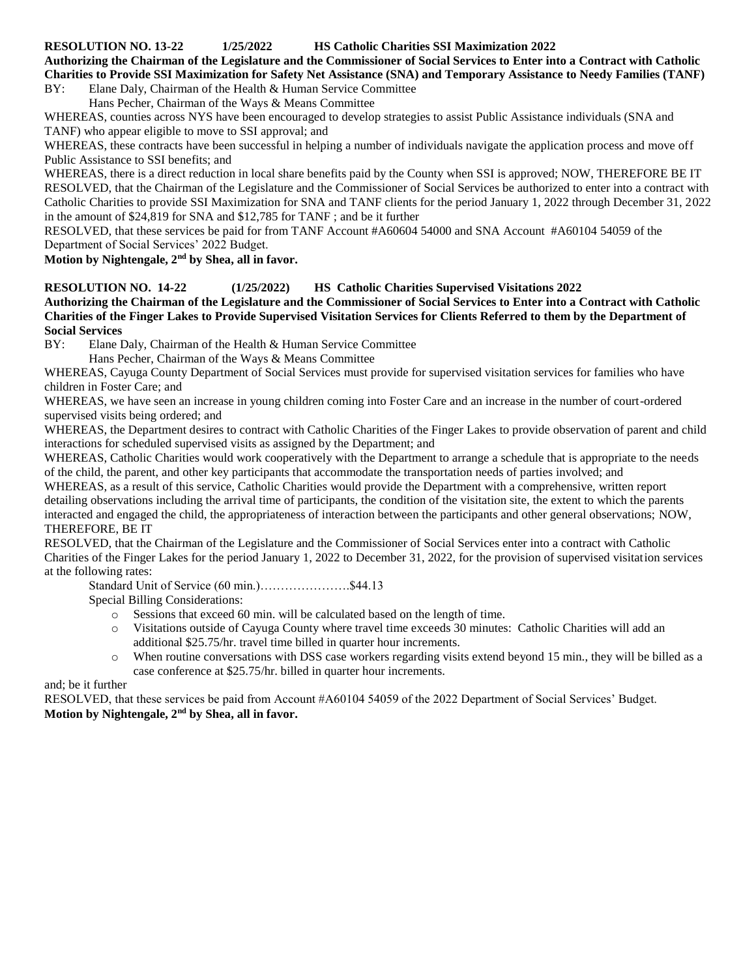#### **RESOLUTION NO. 13-22 1/25/2022 HS Catholic Charities SSI Maximization 2022**

**Authorizing the Chairman of the Legislature and the Commissioner of Social Services to Enter into a Contract with Catholic Charities to Provide SSI Maximization for Safety Net Assistance (SNA) and Temporary Assistance to Needy Families (TANF)**

BY: Elane Daly, Chairman of the Health & Human Service Committee

Hans Pecher, Chairman of the Ways & Means Committee

WHEREAS, counties across NYS have been encouraged to develop strategies to assist Public Assistance individuals (SNA and TANF) who appear eligible to move to SSI approval; and

WHEREAS, these contracts have been successful in helping a number of individuals navigate the application process and move off Public Assistance to SSI benefits; and

WHEREAS, there is a direct reduction in local share benefits paid by the County when SSI is approved; NOW, THEREFORE BE IT RESOLVED, that the Chairman of the Legislature and the Commissioner of Social Services be authorized to enter into a contract with Catholic Charities to provide SSI Maximization for SNA and TANF clients for the period January 1, 2022 through December 31, 2022 in the amount of \$24,819 for SNA and \$12,785 for TANF ; and be it further

RESOLVED, that these services be paid for from TANF Account #A60604 54000 and SNA Account #A60104 54059 of the Department of Social Services' 2022 Budget.

**Motion by Nightengale, 2nd by Shea, all in favor.** 

### **RESOLUTION NO. 14-22 (1/25/2022) HS Catholic Charities Supervised Visitations 2022**

**Authorizing the Chairman of the Legislature and the Commissioner of Social Services to Enter into a Contract with Catholic Charities of the Finger Lakes to Provide Supervised Visitation Services for Clients Referred to them by the Department of Social Services**

BY: Elane Daly, Chairman of the Health & Human Service Committee

Hans Pecher, Chairman of the Ways & Means Committee

WHEREAS, Cayuga County Department of Social Services must provide for supervised visitation services for families who have children in Foster Care; and

WHEREAS, we have seen an increase in young children coming into Foster Care and an increase in the number of court-ordered supervised visits being ordered; and

WHEREAS, the Department desires to contract with Catholic Charities of the Finger Lakes to provide observation of parent and child interactions for scheduled supervised visits as assigned by the Department; and

WHEREAS, Catholic Charities would work cooperatively with the Department to arrange a schedule that is appropriate to the needs of the child, the parent, and other key participants that accommodate the transportation needs of parties involved; and

WHEREAS, as a result of this service, Catholic Charities would provide the Department with a comprehensive, written report detailing observations including the arrival time of participants, the condition of the visitation site, the extent to which the parents interacted and engaged the child, the appropriateness of interaction between the participants and other general observations; NOW, THEREFORE, BE IT

RESOLVED, that the Chairman of the Legislature and the Commissioner of Social Services enter into a contract with Catholic Charities of the Finger Lakes for the period January 1, 2022 to December 31, 2022, for the provision of supervised visitation services at the following rates:

Standard Unit of Service (60 min.)………………….\$44.13

Special Billing Considerations:

- o Sessions that exceed 60 min. will be calculated based on the length of time.
- o Visitations outside of Cayuga County where travel time exceeds 30 minutes: Catholic Charities will add an additional \$25.75/hr. travel time billed in quarter hour increments.
- o When routine conversations with DSS case workers regarding visits extend beyond 15 min., they will be billed as a case conference at \$25.75/hr. billed in quarter hour increments.

and; be it further

RESOLVED, that these services be paid from Account #A60104 54059 of the 2022 Department of Social Services' Budget. **Motion by Nightengale, 2nd by Shea, all in favor.**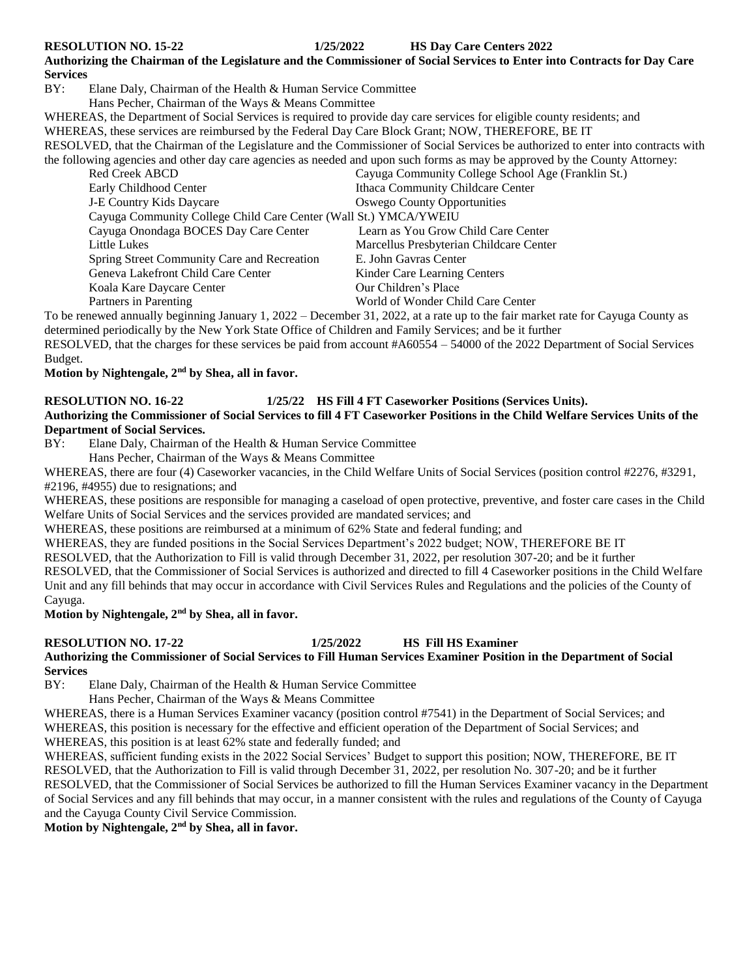**RESOLUTION NO. 15-22 1/25/2022 HS Day Care Centers 2022**

**Authorizing the Chairman of the Legislature and the Commissioner of Social Services to Enter into Contracts for Day Care Services**

BY: Elane Daly, Chairman of the Health & Human Service Committee

Hans Pecher, Chairman of the Ways & Means Committee

WHEREAS, the Department of Social Services is required to provide day care services for eligible county residents; and

WHEREAS, these services are reimbursed by the Federal Day Care Block Grant; NOW, THEREFORE, BE IT

RESOLVED, that the Chairman of the Legislature and the Commissioner of Social Services be authorized to enter into contracts with the following agencies and other day care agencies as needed and upon such forms as may be approved by the County Attorney:

| Red Creek ABCD                                                   | Cayuga Community College School Age (Franklin St.) |  |  |
|------------------------------------------------------------------|----------------------------------------------------|--|--|
| Early Childhood Center                                           | Ithaca Community Childcare Center                  |  |  |
| <b>J-E Country Kids Daycare</b>                                  | <b>Oswego County Opportunities</b>                 |  |  |
| Cayuga Community College Child Care Center (Wall St.) YMCA/YWEIU |                                                    |  |  |
| Cayuga Onondaga BOCES Day Care Center                            | Learn as You Grow Child Care Center                |  |  |
| Little Lukes                                                     | Marcellus Presbyterian Childcare Center            |  |  |
| Spring Street Community Care and Recreation                      | E. John Gavras Center                              |  |  |
| Geneva Lakefront Child Care Center                               | Kinder Care Learning Centers                       |  |  |
| Koala Kare Daycare Center                                        | Our Children's Place                               |  |  |
| Partners in Parenting                                            | World of Wonder Child Care Center                  |  |  |

To be renewed annually beginning January 1, 2022 – December 31, 2022, at a rate up to the fair market rate for Cayuga County as determined periodically by the New York State Office of Children and Family Services; and be it further

RESOLVED, that the charges for these services be paid from account #A60554 – 54000 of the 2022 Department of Social Services Budget.

**Motion by Nightengale, 2nd by Shea, all in favor.** 

#### **RESOLUTION NO. 16-22 1/25/22 HS Fill 4 FT Caseworker Positions (Services Units).**

#### **Authorizing the Commissioner of Social Services to fill 4 FT Caseworker Positions in the Child Welfare Services Units of the Department of Social Services.**

BY: Elane Daly, Chairman of the Health & Human Service Committee

Hans Pecher, Chairman of the Ways & Means Committee

WHEREAS, there are four (4) Caseworker vacancies, in the Child Welfare Units of Social Services (position control #2276, #3291, #2196, #4955) due to resignations; and

WHEREAS, these positions are responsible for managing a caseload of open protective, preventive, and foster care cases in the Child Welfare Units of Social Services and the services provided are mandated services; and

WHEREAS, these positions are reimbursed at a minimum of 62% State and federal funding; and

WHEREAS, they are funded positions in the Social Services Department's 2022 budget; NOW, THEREFORE BE IT

RESOLVED, that the Authorization to Fill is valid through December 31, 2022, per resolution 307-20; and be it further

RESOLVED, that the Commissioner of Social Services is authorized and directed to fill 4 Caseworker positions in the Child Welfare Unit and any fill behinds that may occur in accordance with Civil Services Rules and Regulations and the policies of the County of Cayuga.

**Motion by Nightengale, 2nd by Shea, all in favor.** 

#### **RESOLUTION NO. 17-22 1/25/2022 HS Fill HS Examiner**

**Authorizing the Commissioner of Social Services to Fill Human Services Examiner Position in the Department of Social Services**

BY: Elane Daly, Chairman of the Health & Human Service Committee

Hans Pecher, Chairman of the Ways & Means Committee

WHEREAS, there is a Human Services Examiner vacancy (position control #7541) in the Department of Social Services; and WHEREAS, this position is necessary for the effective and efficient operation of the Department of Social Services; and WHEREAS, this position is at least 62% state and federally funded; and

WHEREAS, sufficient funding exists in the 2022 Social Services' Budget to support this position; NOW, THEREFORE, BE IT RESOLVED, that the Authorization to Fill is valid through December 31, 2022, per resolution No. 307-20; and be it further RESOLVED, that the Commissioner of Social Services be authorized to fill the Human Services Examiner vacancy in the Department of Social Services and any fill behinds that may occur, in a manner consistent with the rules and regulations of the County of Cayuga and the Cayuga County Civil Service Commission.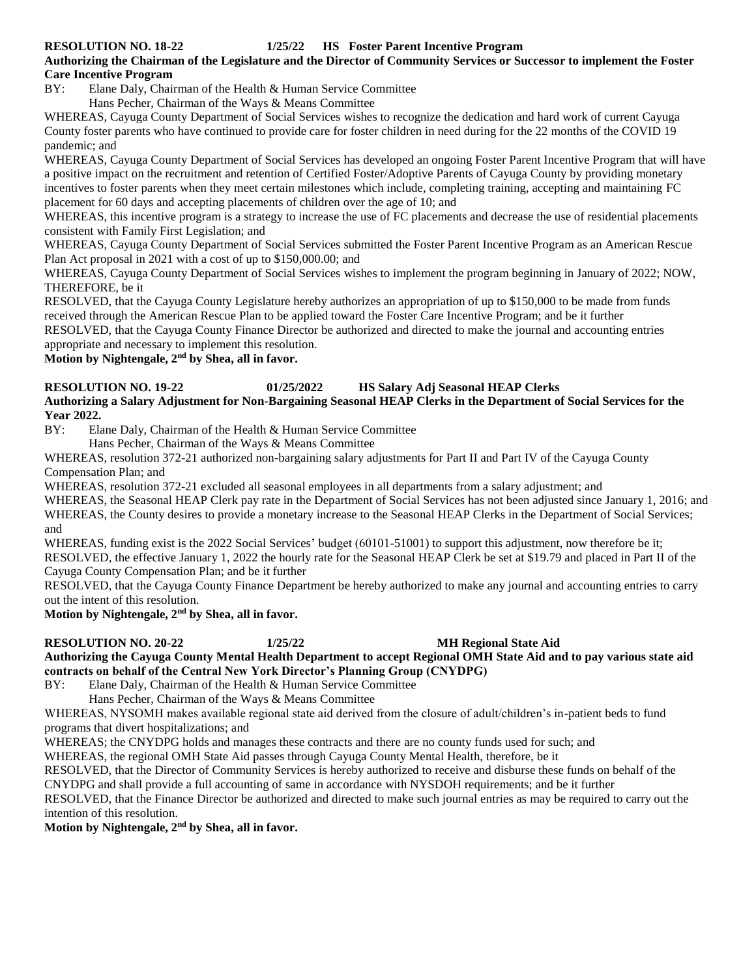#### **RESOLUTION NO. 18-22 1/25/22 HS Foster Parent Incentive Program**

**Authorizing the Chairman of the Legislature and the Director of Community Services or Successor to implement the Foster Care Incentive Program** 

BY: Elane Daly, Chairman of the Health & Human Service Committee

Hans Pecher, Chairman of the Ways & Means Committee

WHEREAS, Cayuga County Department of Social Services wishes to recognize the dedication and hard work of current Cayuga County foster parents who have continued to provide care for foster children in need during for the 22 months of the COVID 19 pandemic; and

WHEREAS, Cayuga County Department of Social Services has developed an ongoing Foster Parent Incentive Program that will have a positive impact on the recruitment and retention of Certified Foster/Adoptive Parents of Cayuga County by providing monetary incentives to foster parents when they meet certain milestones which include, completing training, accepting and maintaining FC placement for 60 days and accepting placements of children over the age of 10; and

WHEREAS, this incentive program is a strategy to increase the use of FC placements and decrease the use of residential placements consistent with Family First Legislation; and

WHEREAS, Cayuga County Department of Social Services submitted the Foster Parent Incentive Program as an American Rescue Plan Act proposal in 2021 with a cost of up to \$150,000.00; and

WHEREAS, Cayuga County Department of Social Services wishes to implement the program beginning in January of 2022; NOW, THEREFORE, be it

RESOLVED, that the Cayuga County Legislature hereby authorizes an appropriation of up to \$150,000 to be made from funds received through the American Rescue Plan to be applied toward the Foster Care Incentive Program; and be it further RESOLVED, that the Cayuga County Finance Director be authorized and directed to make the journal and accounting entries

appropriate and necessary to implement this resolution. **Motion by Nightengale, 2nd by Shea, all in favor.** 

#### **RESOLUTION NO. 19-22 01/25/2022 HS Salary Adj Seasonal HEAP Clerks**

**Authorizing a Salary Adjustment for Non-Bargaining Seasonal HEAP Clerks in the Department of Social Services for the Year 2022.** 

BY: Elane Daly, Chairman of the Health & Human Service Committee

Hans Pecher, Chairman of the Ways & Means Committee

WHEREAS, resolution 372-21 authorized non-bargaining salary adjustments for Part II and Part IV of the Cayuga County Compensation Plan; and

WHEREAS, resolution 372-21 excluded all seasonal employees in all departments from a salary adjustment; and

WHEREAS, the Seasonal HEAP Clerk pay rate in the Department of Social Services has not been adjusted since January 1, 2016; and WHEREAS, the County desires to provide a monetary increase to the Seasonal HEAP Clerks in the Department of Social Services; and

WHEREAS, funding exist is the 2022 Social Services' budget (60101-51001) to support this adjustment, now therefore be it; RESOLVED, the effective January 1, 2022 the hourly rate for the Seasonal HEAP Clerk be set at \$19.79 and placed in Part II of the Cayuga County Compensation Plan; and be it further

RESOLVED, that the Cayuga County Finance Department be hereby authorized to make any journal and accounting entries to carry out the intent of this resolution.

**Motion by Nightengale, 2nd by Shea, all in favor.** 

**RESOLUTION NO. 20-22 1/25/22 MH Regional State Aid**

**Authorizing the Cayuga County Mental Health Department to accept Regional OMH State Aid and to pay various state aid contracts on behalf of the Central New York Director's Planning Group (CNYDPG)**

BY: Elane Daly, Chairman of the Health & Human Service Committee

Hans Pecher, Chairman of the Ways & Means Committee

WHEREAS, NYSOMH makes available regional state aid derived from the closure of adult/children's in-patient beds to fund programs that divert hospitalizations; and

WHEREAS; the CNYDPG holds and manages these contracts and there are no county funds used for such; and

WHEREAS, the regional OMH State Aid passes through Cayuga County Mental Health, therefore, be it

RESOLVED, that the Director of Community Services is hereby authorized to receive and disburse these funds on behalf of the

CNYDPG and shall provide a full accounting of same in accordance with NYSDOH requirements; and be it further

RESOLVED, that the Finance Director be authorized and directed to make such journal entries as may be required to carry out the intention of this resolution.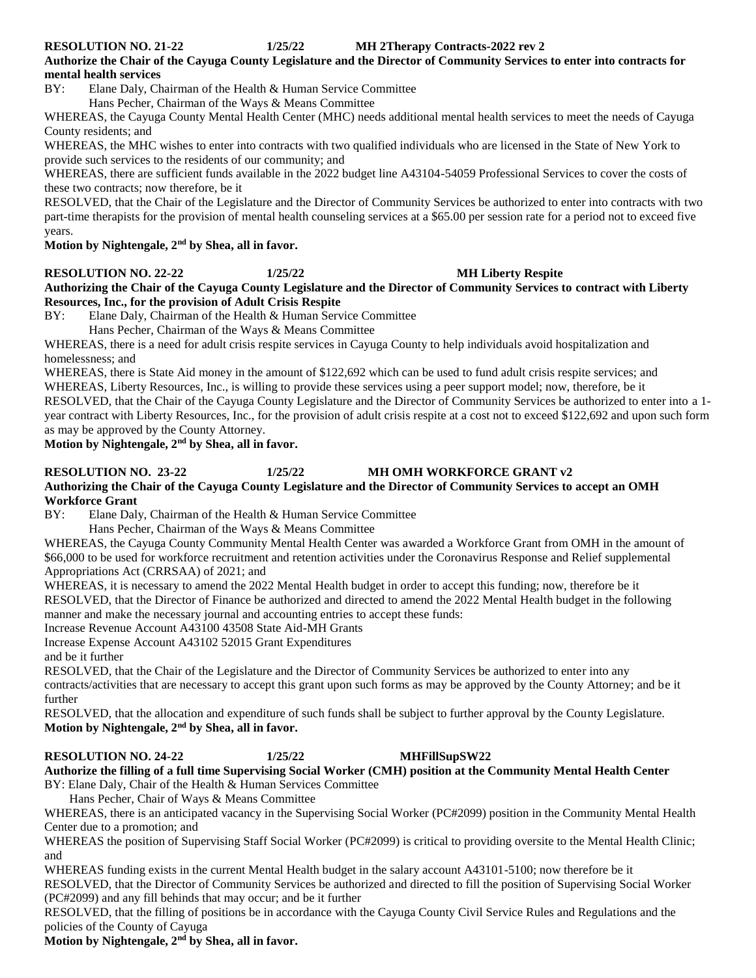**RESOLUTION NO. 21-22 1/25/22 MH 2Therapy Contracts-2022 rev 2**

**Authorize the Chair of the Cayuga County Legislature and the Director of Community Services to enter into contracts for mental health services**

BY: Elane Daly, Chairman of the Health & Human Service Committee

Hans Pecher, Chairman of the Ways & Means Committee

WHEREAS, the Cayuga County Mental Health Center (MHC) needs additional mental health services to meet the needs of Cayuga County residents; and

WHEREAS, the MHC wishes to enter into contracts with two qualified individuals who are licensed in the State of New York to provide such services to the residents of our community; and

WHEREAS, there are sufficient funds available in the 2022 budget line A43104-54059 Professional Services to cover the costs of these two contracts; now therefore, be it

RESOLVED, that the Chair of the Legislature and the Director of Community Services be authorized to enter into contracts with two part-time therapists for the provision of mental health counseling services at a \$65.00 per session rate for a period not to exceed five years.

**Motion by Nightengale, 2nd by Shea, all in favor.** 

**RESOLUTION NO. 22-22 1/25/22 MH Liberty Respite**

**Authorizing the Chair of the Cayuga County Legislature and the Director of Community Services to contract with Liberty Resources, Inc., for the provision of Adult Crisis Respite**

BY: Elane Daly, Chairman of the Health & Human Service Committee

Hans Pecher, Chairman of the Ways & Means Committee

WHEREAS, there is a need for adult crisis respite services in Cayuga County to help individuals avoid hospitalization and homelessness; and

WHEREAS, there is State Aid money in the amount of \$122,692 which can be used to fund adult crisis respite services; and WHEREAS, Liberty Resources, Inc., is willing to provide these services using a peer support model; now, therefore, be it RESOLVED, that the Chair of the Cayuga County Legislature and the Director of Community Services be authorized to enter into a 1 year contract with Liberty Resources, Inc., for the provision of adult crisis respite at a cost not to exceed \$122,692 and upon such form as may be approved by the County Attorney.

**Motion by Nightengale, 2nd by Shea, all in favor.** 

### **RESOLUTION NO. 23-22 1/25/22 MH OMH WORKFORCE GRANT v2**

#### **Authorizing the Chair of the Cayuga County Legislature and the Director of Community Services to accept an OMH Workforce Grant**

BY: Elane Daly, Chairman of the Health & Human Service Committee

Hans Pecher, Chairman of the Ways & Means Committee

WHEREAS, the Cayuga County Community Mental Health Center was awarded a Workforce Grant from OMH in the amount of \$66,000 to be used for workforce recruitment and retention activities under the Coronavirus Response and Relief supplemental Appropriations Act (CRRSAA) of 2021; and

WHEREAS, it is necessary to amend the 2022 Mental Health budget in order to accept this funding; now, therefore be it RESOLVED, that the Director of Finance be authorized and directed to amend the 2022 Mental Health budget in the following manner and make the necessary journal and accounting entries to accept these funds:

Increase Revenue Account A43100 43508 State Aid-MH Grants

Increase Expense Account A43102 52015 Grant Expenditures

and be it further

RESOLVED, that the Chair of the Legislature and the Director of Community Services be authorized to enter into any contracts/activities that are necessary to accept this grant upon such forms as may be approved by the County Attorney; and be it further

RESOLVED, that the allocation and expenditure of such funds shall be subject to further approval by the County Legislature. **Motion by Nightengale, 2nd by Shea, all in favor.** 

### **RESOLUTION NO. 24-22 1/25/22 MHFillSupSW22**

#### **Authorize the filling of a full time Supervising Social Worker (CMH) position at the Community Mental Health Center**  BY: Elane Daly, Chair of the Health & Human Services Committee

Hans Pecher, Chair of Ways & Means Committee

WHEREAS, there is an anticipated vacancy in the Supervising Social Worker (PC#2099) position in the Community Mental Health Center due to a promotion; and

WHEREAS the position of Supervising Staff Social Worker (PC#2099) is critical to providing oversite to the Mental Health Clinic; and

WHEREAS funding exists in the current Mental Health budget in the salary account A43101-5100; now therefore be it RESOLVED, that the Director of Community Services be authorized and directed to fill the position of Supervising Social Worker (PC#2099) and any fill behinds that may occur; and be it further

RESOLVED, that the filling of positions be in accordance with the Cayuga County Civil Service Rules and Regulations and the policies of the County of Cayuga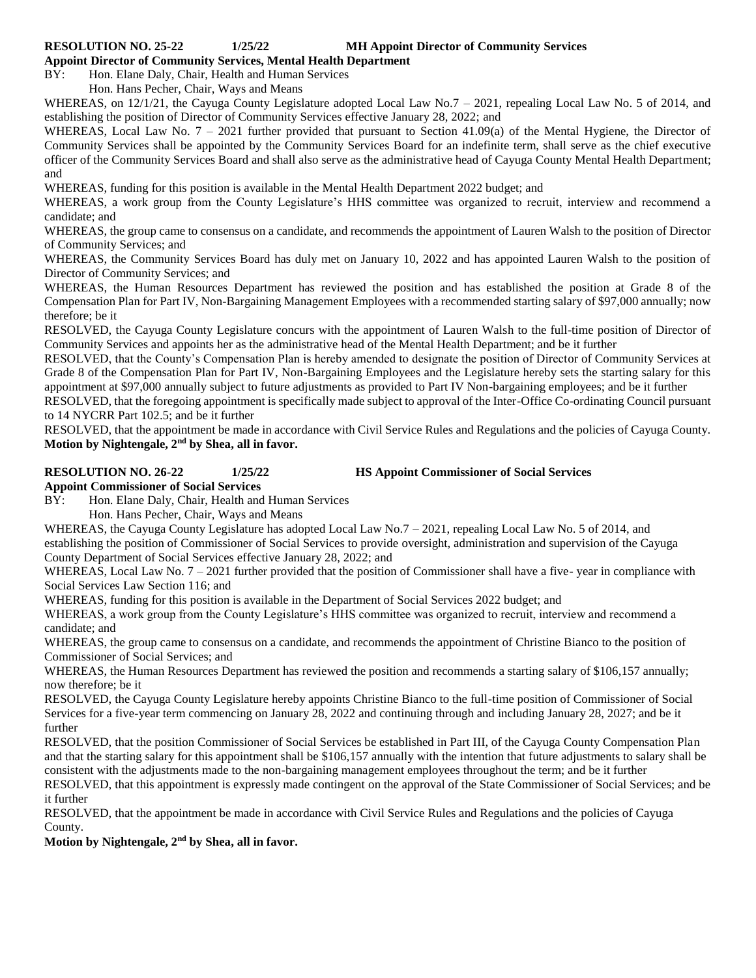**Appoint Director of Community Services, Mental Health Department** 

BY: Hon. Elane Daly, Chair, Health and Human Services

Hon. Hans Pecher, Chair, Ways and Means

WHEREAS, on 12/1/21, the Cayuga County Legislature adopted Local Law No.7 – 2021, repealing Local Law No. 5 of 2014, and establishing the position of Director of Community Services effective January 28, 2022; and

WHEREAS, Local Law No. 7 - 2021 further provided that pursuant to Section 41.09(a) of the Mental Hygiene, the Director of Community Services shall be appointed by the Community Services Board for an indefinite term, shall serve as the chief executive officer of the Community Services Board and shall also serve as the administrative head of Cayuga County Mental Health Department; and

WHEREAS, funding for this position is available in the Mental Health Department 2022 budget; and

WHEREAS, a work group from the County Legislature's HHS committee was organized to recruit, interview and recommend a candidate; and

WHEREAS, the group came to consensus on a candidate, and recommends the appointment of Lauren Walsh to the position of Director of Community Services; and

WHEREAS, the Community Services Board has duly met on January 10, 2022 and has appointed Lauren Walsh to the position of Director of Community Services; and

WHEREAS, the Human Resources Department has reviewed the position and has established the position at Grade 8 of the Compensation Plan for Part IV, Non-Bargaining Management Employees with a recommended starting salary of \$97,000 annually; now therefore; be it

RESOLVED, the Cayuga County Legislature concurs with the appointment of Lauren Walsh to the full-time position of Director of Community Services and appoints her as the administrative head of the Mental Health Department; and be it further

RESOLVED, that the County's Compensation Plan is hereby amended to designate the position of Director of Community Services at Grade 8 of the Compensation Plan for Part IV, Non-Bargaining Employees and the Legislature hereby sets the starting salary for this appointment at \$97,000 annually subject to future adjustments as provided to Part IV Non-bargaining employees; and be it further

RESOLVED, that the foregoing appointment is specifically made subject to approval of the Inter-Office Co-ordinating Council pursuant to 14 NYCRR Part 102.5; and be it further

RESOLVED, that the appointment be made in accordance with Civil Service Rules and Regulations and the policies of Cayuga County. **Motion by Nightengale, 2nd by Shea, all in favor.** 

**RESOLUTION NO. 26-22 1/25/22 HS Appoint Commissioner of Social Services** 

**Appoint Commissioner of Social Services** 

BY: Hon. Elane Daly, Chair, Health and Human Services

Hon. Hans Pecher, Chair, Ways and Means

WHEREAS, the Cayuga County Legislature has adopted Local Law No.7 – 2021, repealing Local Law No. 5 of 2014, and establishing the position of Commissioner of Social Services to provide oversight, administration and supervision of the Cayuga County Department of Social Services effective January 28, 2022; and

WHEREAS, Local Law No. 7 – 2021 further provided that the position of Commissioner shall have a five- year in compliance with Social Services Law Section 116; and

WHEREAS, funding for this position is available in the Department of Social Services 2022 budget; and

WHEREAS, a work group from the County Legislature's HHS committee was organized to recruit, interview and recommend a candidate; and

WHEREAS, the group came to consensus on a candidate, and recommends the appointment of Christine Bianco to the position of Commissioner of Social Services; and

WHEREAS, the Human Resources Department has reviewed the position and recommends a starting salary of \$106,157 annually; now therefore; be it

RESOLVED, the Cayuga County Legislature hereby appoints Christine Bianco to the full-time position of Commissioner of Social Services for a five-year term commencing on January 28, 2022 and continuing through and including January 28, 2027; and be it further

RESOLVED, that the position Commissioner of Social Services be established in Part III, of the Cayuga County Compensation Plan and that the starting salary for this appointment shall be \$106,157 annually with the intention that future adjustments to salary shall be consistent with the adjustments made to the non-bargaining management employees throughout the term; and be it further

RESOLVED, that this appointment is expressly made contingent on the approval of the State Commissioner of Social Services; and be it further

RESOLVED, that the appointment be made in accordance with Civil Service Rules and Regulations and the policies of Cayuga County.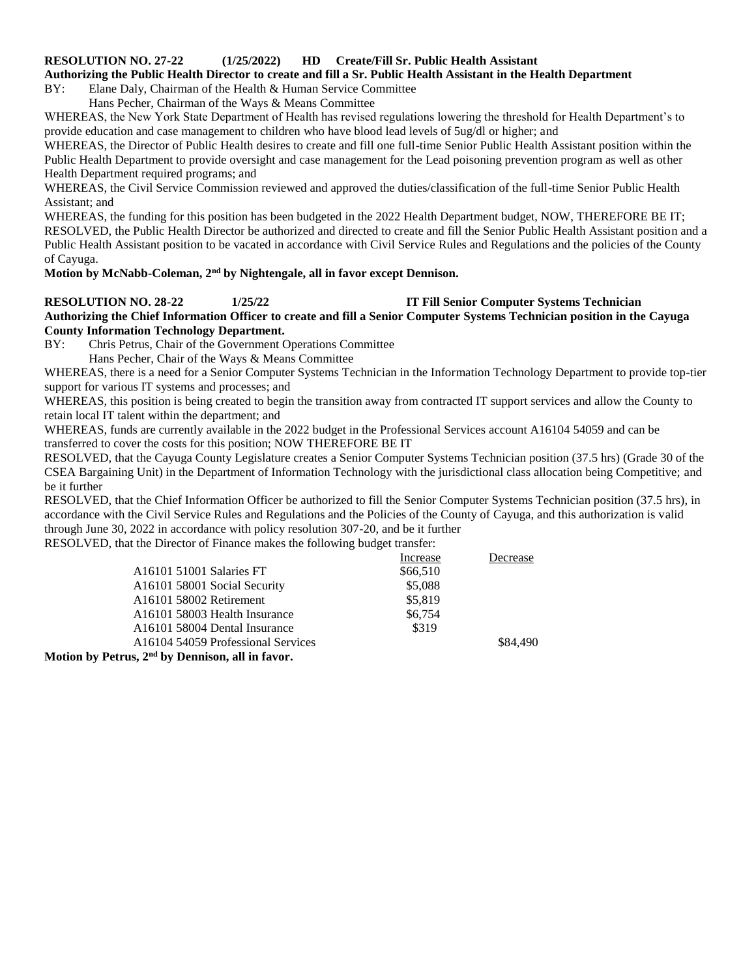#### **RESOLUTION NO. 27-22 (1/25/2022) HD Create/Fill Sr. Public Health Assistant**

**Authorizing the Public Health Director to create and fill a Sr. Public Health Assistant in the Health Department**

BY: Elane Daly, Chairman of the Health & Human Service Committee

Hans Pecher, Chairman of the Ways & Means Committee

WHEREAS, the New York State Department of Health has revised regulations lowering the threshold for Health Department's to provide education and case management to children who have blood lead levels of 5ug/dl or higher; and

WHEREAS, the Director of Public Health desires to create and fill one full-time Senior Public Health Assistant position within the Public Health Department to provide oversight and case management for the Lead poisoning prevention program as well as other Health Department required programs; and

WHEREAS, the Civil Service Commission reviewed and approved the duties/classification of the full-time Senior Public Health Assistant; and

WHEREAS, the funding for this position has been budgeted in the 2022 Health Department budget, NOW, THEREFORE BE IT; RESOLVED, the Public Health Director be authorized and directed to create and fill the Senior Public Health Assistant position and a Public Health Assistant position to be vacated in accordance with Civil Service Rules and Regulations and the policies of the County of Cayuga.

### **Motion by McNabb-Coleman, 2nd by Nightengale, all in favor except Dennison.**

**RESOLUTION NO. 28-22 1/25/22 IT Fill Senior Computer Systems Technician Authorizing the Chief Information Officer to create and fill a Senior Computer Systems Technician position in the Cayuga County Information Technology Department.**

- BY: Chris Petrus, Chair of the Government Operations Committee
	- Hans Pecher, Chair of the Ways & Means Committee

WHEREAS, there is a need for a Senior Computer Systems Technician in the Information Technology Department to provide top-tier support for various IT systems and processes; and

WHEREAS, this position is being created to begin the transition away from contracted IT support services and allow the County to retain local IT talent within the department; and

WHEREAS, funds are currently available in the 2022 budget in the Professional Services account A16104 54059 and can be transferred to cover the costs for this position; NOW THEREFORE BE IT

RESOLVED, that the Cayuga County Legislature creates a Senior Computer Systems Technician position (37.5 hrs) (Grade 30 of the CSEA Bargaining Unit) in the Department of Information Technology with the jurisdictional class allocation being Competitive; and be it further

RESOLVED, that the Chief Information Officer be authorized to fill the Senior Computer Systems Technician position (37.5 hrs), in accordance with the Civil Service Rules and Regulations and the Policies of the County of Cayuga, and this authorization is valid through June 30, 2022 in accordance with policy resolution 307-20, and be it further

RESOLVED, that the Director of Finance makes the following budget transfer:

|                                                | Increase | Decrease |
|------------------------------------------------|----------|----------|
| A16101 51001 Salaries FT                       | \$66,510 |          |
| A16101 58001 Social Security                   | \$5,088  |          |
| A16101 58002 Retirement                        | \$5,819  |          |
| A16101 58003 Health Insurance                  | \$6,754  |          |
| A16101 58004 Dental Insurance                  | \$319    |          |
| A16104 54059 Professional Services             |          | \$84,490 |
| $_{\text{atmno}}$ and he Donnigon all in force |          |          |

**Motion by Petrus, 2nd by Dennison, all in favor.**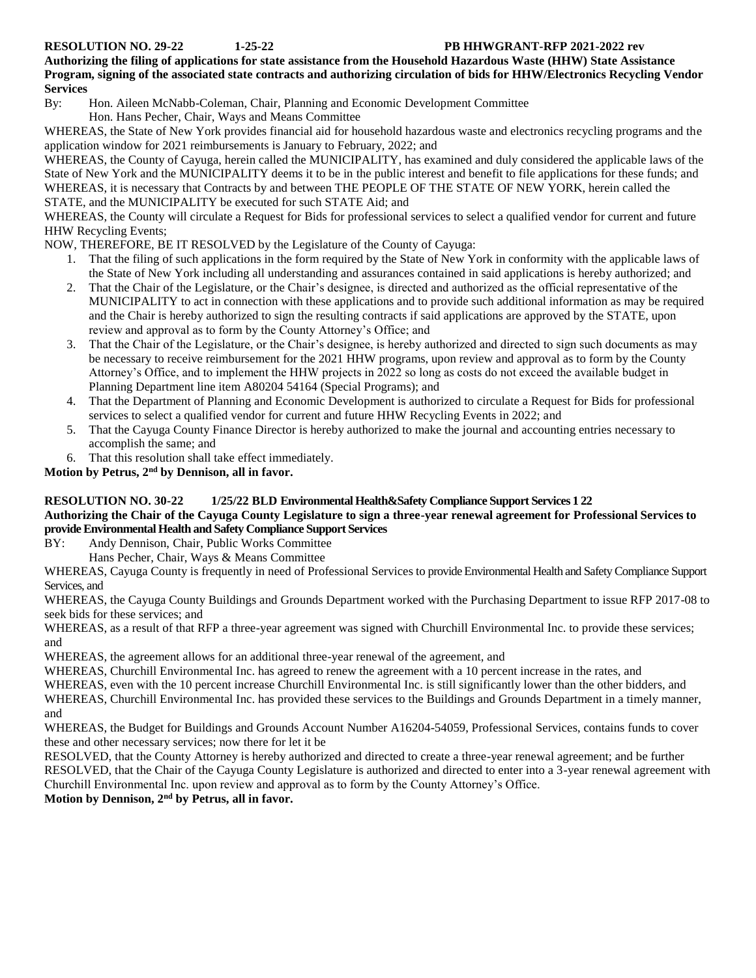#### **RESOLUTION NO. 29-22 1-25-22 PB HHWGRANT-RFP 2021-2022 rev**

#### **Authorizing the filing of applications for state assistance from the Household Hazardous Waste (HHW) State Assistance Program, signing of the associated state contracts and authorizing circulation of bids for HHW/Electronics Recycling Vendor Services**

By: Hon. Aileen McNabb-Coleman, Chair, Planning and Economic Development Committee Hon. Hans Pecher, Chair, Ways and Means Committee

WHEREAS, the State of New York provides financial aid for household hazardous waste and electronics recycling programs and the application window for 2021 reimbursements is January to February, 2022; and

WHEREAS, the County of Cayuga, herein called the MUNICIPALITY, has examined and duly considered the applicable laws of the State of New York and the MUNICIPALITY deems it to be in the public interest and benefit to file applications for these funds; and WHEREAS, it is necessary that Contracts by and between THE PEOPLE OF THE STATE OF NEW YORK, herein called the STATE, and the MUNICIPALITY be executed for such STATE Aid; and

WHEREAS, the County will circulate a Request for Bids for professional services to select a qualified vendor for current and future HHW Recycling Events;

NOW, THEREFORE, BE IT RESOLVED by the Legislature of the County of Cayuga:

- 1. That the filing of such applications in the form required by the State of New York in conformity with the applicable laws of the State of New York including all understanding and assurances contained in said applications is hereby authorized; and
- 2. That the Chair of the Legislature, or the Chair's designee, is directed and authorized as the official representative of the MUNICIPALITY to act in connection with these applications and to provide such additional information as may be required and the Chair is hereby authorized to sign the resulting contracts if said applications are approved by the STATE, upon review and approval as to form by the County Attorney's Office; and
- 3. That the Chair of the Legislature, or the Chair's designee, is hereby authorized and directed to sign such documents as may be necessary to receive reimbursement for the 2021 HHW programs, upon review and approval as to form by the County Attorney's Office, and to implement the HHW projects in 2022 so long as costs do not exceed the available budget in Planning Department line item A80204 54164 (Special Programs); and
- 4. That the Department of Planning and Economic Development is authorized to circulate a Request for Bids for professional services to select a qualified vendor for current and future HHW Recycling Events in 2022; and
- 5. That the Cayuga County Finance Director is hereby authorized to make the journal and accounting entries necessary to accomplish the same; and
- 6. That this resolution shall take effect immediately.

**Motion by Petrus, 2nd by Dennison, all in favor.**

#### **RESOLUTION NO. 30-22 1/25/22 BLD Environmental Health&Safety Compliance Support Services 1 22 Authorizing the Chair of the Cayuga County Legislature to sign a three-year renewal agreement for Professional Services to provide Environmental Health and Safety Compliance Support Services**

#### BY: Andy Dennison, Chair, Public Works Committee

Hans Pecher, Chair, Ways & Means Committee

WHEREAS, Cayuga County is frequently in need of Professional Services to provide Environmental Health and Safety Compliance Support Services, and

WHEREAS, the Cayuga County Buildings and Grounds Department worked with the Purchasing Department to issue RFP 2017-08 to seek bids for these services; and

WHEREAS, as a result of that RFP a three-year agreement was signed with Churchill Environmental Inc. to provide these services; and

WHEREAS, the agreement allows for an additional three-year renewal of the agreement, and

WHEREAS, Churchill Environmental Inc. has agreed to renew the agreement with a 10 percent increase in the rates, and

WHEREAS, even with the 10 percent increase Churchill Environmental Inc. is still significantly lower than the other bidders, and

WHEREAS, Churchill Environmental Inc. has provided these services to the Buildings and Grounds Department in a timely manner, and

WHEREAS, the Budget for Buildings and Grounds Account Number A16204-54059, Professional Services, contains funds to cover these and other necessary services; now there for let it be

RESOLVED, that the County Attorney is hereby authorized and directed to create a three-year renewal agreement; and be further RESOLVED, that the Chair of the Cayuga County Legislature is authorized and directed to enter into a 3-year renewal agreement with Churchill Environmental Inc. upon review and approval as to form by the County Attorney's Office.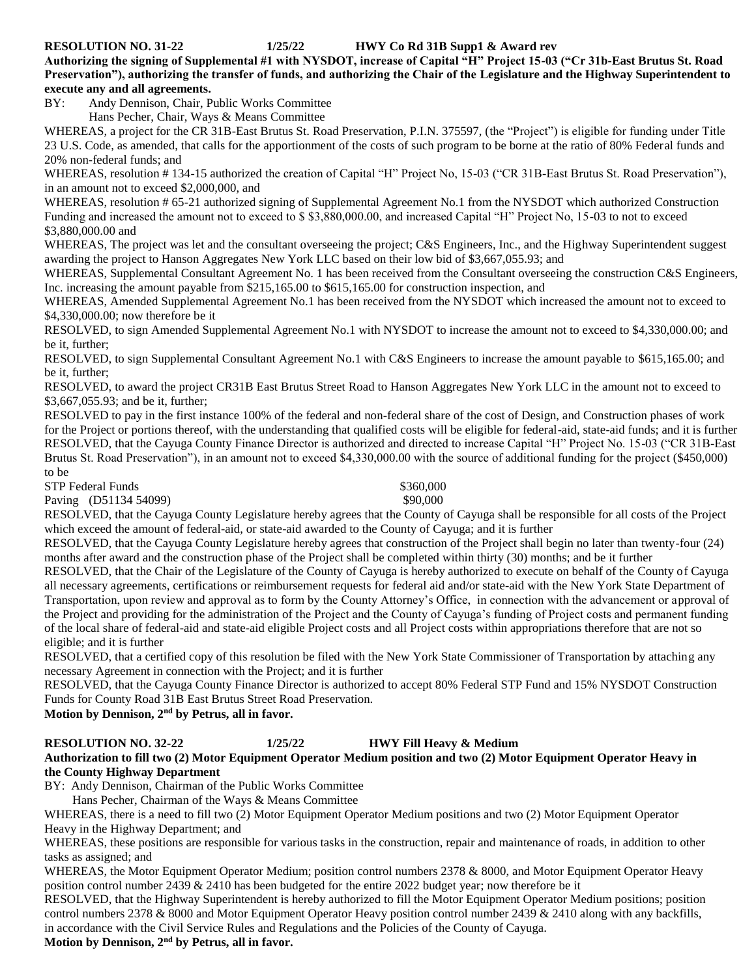#### **RESOLUTION NO. 31-22 1/25/22 HWY Co Rd 31B Supp1 & Award rev**

**Authorizing the signing of Supplemental #1 with NYSDOT, increase of Capital "H" Project 15-03 ("Cr 31b-East Brutus St. Road Preservation"), authorizing the transfer of funds, and authorizing the Chair of the Legislature and the Highway Superintendent to execute any and all agreements.**

BY: Andy Dennison, Chair, Public Works Committee

Hans Pecher, Chair, Ways & Means Committee

WHEREAS, a project for the CR 31B-East Brutus St. Road Preservation, P.I.N. 375597, (the "Project") is eligible for funding under Title 23 U.S. Code, as amended, that calls for the apportionment of the costs of such program to be borne at the ratio of 80% Federal funds and 20% non-federal funds; and

WHEREAS, resolution #134-15 authorized the creation of Capital "H" Project No, 15-03 ("CR 31B-East Brutus St. Road Preservation"), in an amount not to exceed \$2,000,000, and

WHEREAS, resolution # 65-21 authorized signing of Supplemental Agreement No.1 from the NYSDOT which authorized Construction Funding and increased the amount not to exceed to \$ \$3,880,000.00, and increased Capital "H" Project No, 15-03 to not to exceed \$3,880,000.00 and

WHEREAS, The project was let and the consultant overseeing the project; C&S Engineers, Inc., and the Highway Superintendent suggest awarding the project to Hanson Aggregates New York LLC based on their low bid of \$3,667,055.93; and

WHEREAS, Supplemental Consultant Agreement No. 1 has been received from the Consultant overseeing the construction C&S Engineers, Inc. increasing the amount payable from \$215,165.00 to \$615,165.00 for construction inspection, and

WHEREAS, Amended Supplemental Agreement No.1 has been received from the NYSDOT which increased the amount not to exceed to \$4,330,000.00; now therefore be it

RESOLVED, to sign Amended Supplemental Agreement No.1 with NYSDOT to increase the amount not to exceed to \$4,330,000.00; and be it, further;

RESOLVED, to sign Supplemental Consultant Agreement No.1 with C&S Engineers to increase the amount payable to \$615,165.00; and be it, further;

RESOLVED, to award the project CR31B East Brutus Street Road to Hanson Aggregates New York LLC in the amount not to exceed to \$3,667,055.93; and be it, further;

RESOLVED to pay in the first instance 100% of the federal and non-federal share of the cost of Design, and Construction phases of work for the Project or portions thereof, with the understanding that qualified costs will be eligible for federal-aid, state-aid funds; and it is further RESOLVED, that the Cayuga County Finance Director is authorized and directed to increase Capital "H" Project No. 15-03 ("CR 31B-East Brutus St. Road Preservation"), in an amount not to exceed \$4,330,000.00 with the source of additional funding for the project (\$450,000) to be

STP Federal Funds  $$360,000$ 

Paving (D51134 54099) \$90,000

RESOLVED, that the Cayuga County Legislature hereby agrees that the County of Cayuga shall be responsible for all costs of the Project which exceed the amount of federal-aid, or state-aid awarded to the County of Cayuga; and it is further

RESOLVED, that the Cayuga County Legislature hereby agrees that construction of the Project shall begin no later than twenty-four (24) months after award and the construction phase of the Project shall be completed within thirty (30) months; and be it further

RESOLVED, that the Chair of the Legislature of the County of Cayuga is hereby authorized to execute on behalf of the County of Cayuga all necessary agreements, certifications or reimbursement requests for federal aid and/or state-aid with the New York State Department of Transportation, upon review and approval as to form by the County Attorney's Office, in connection with the advancement or approval of the Project and providing for the administration of the Project and the County of Cayuga's funding of Project costs and permanent funding of the local share of federal-aid and state-aid eligible Project costs and all Project costs within appropriations therefore that are not so eligible; and it is further

RESOLVED, that a certified copy of this resolution be filed with the New York State Commissioner of Transportation by attaching any necessary Agreement in connection with the Project; and it is further

RESOLVED, that the Cayuga County Finance Director is authorized to accept 80% Federal STP Fund and 15% NYSDOT Construction Funds for County Road 31B East Brutus Street Road Preservation.

**Motion by Dennison, 2nd by Petrus, all in favor.** 

### **RESOLUTION NO. 32-22 1/25/22 HWY Fill Heavy & Medium**

#### **Authorization to fill two (2) Motor Equipment Operator Medium position and two (2) Motor Equipment Operator Heavy in the County Highway Department**

BY: Andy Dennison, Chairman of the Public Works Committee

Hans Pecher, Chairman of the Ways & Means Committee

WHEREAS, there is a need to fill two (2) Motor Equipment Operator Medium positions and two (2) Motor Equipment Operator Heavy in the Highway Department; and

WHEREAS, these positions are responsible for various tasks in the construction, repair and maintenance of roads, in addition to other tasks as assigned; and

WHEREAS, the Motor Equipment Operator Medium; position control numbers 2378 & 8000, and Motor Equipment Operator Heavy position control number 2439 & 2410 has been budgeted for the entire 2022 budget year; now therefore be it

RESOLVED, that the Highway Superintendent is hereby authorized to fill the Motor Equipment Operator Medium positions; position control numbers 2378 & 8000 and Motor Equipment Operator Heavy position control number 2439 & 2410 along with any backfills, in accordance with the Civil Service Rules and Regulations and the Policies of the County of Cayuga.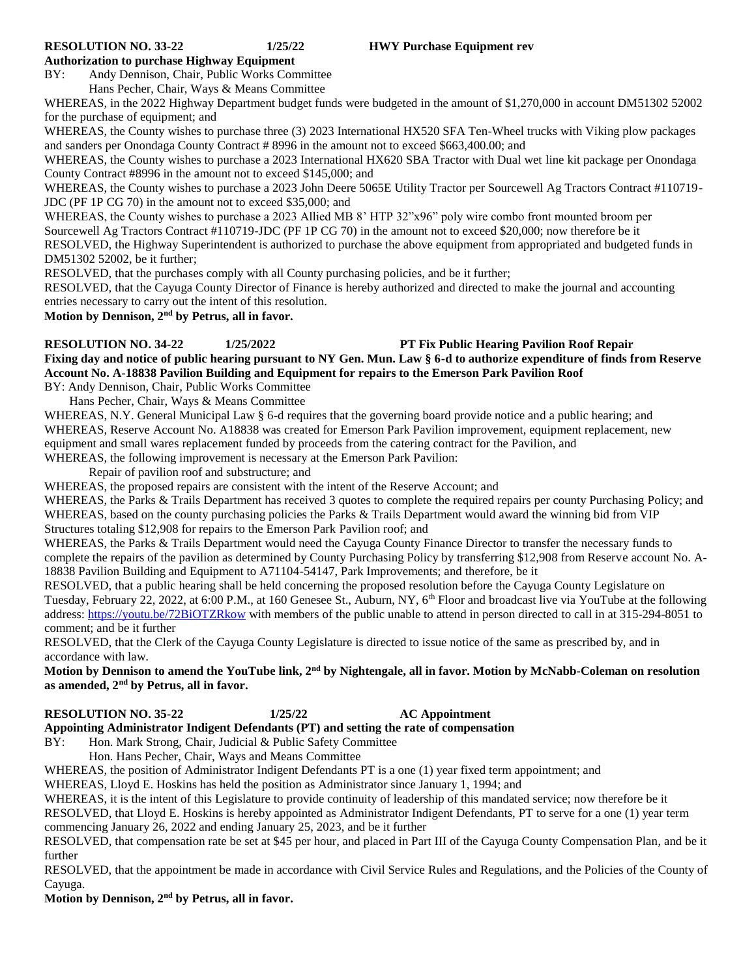#### **RESOLUTION NO. 33-22 1/25/22 HWY Purchase Equipment rev**

#### **Authorization to purchase Highway Equipment**

BY: Andy Dennison, Chair, Public Works Committee

Hans Pecher, Chair, Ways & Means Committee

WHEREAS, in the 2022 Highway Department budget funds were budgeted in the amount of \$1,270,000 in account DM51302 52002 for the purchase of equipment; and

WHEREAS, the County wishes to purchase three (3) 2023 International HX520 SFA Ten-Wheel trucks with Viking plow packages and sanders per Onondaga County Contract # 8996 in the amount not to exceed \$663,400.00; and

WHEREAS, the County wishes to purchase a 2023 International HX620 SBA Tractor with Dual wet line kit package per Onondaga County Contract #8996 in the amount not to exceed \$145,000; and

WHEREAS, the County wishes to purchase a 2023 John Deere 5065E Utility Tractor per Sourcewell Ag Tractors Contract #110719- JDC (PF 1P CG 70) in the amount not to exceed \$35,000; and

WHEREAS, the County wishes to purchase a 2023 Allied MB 8' HTP 32"x96" poly wire combo front mounted broom per Sourcewell Ag Tractors Contract #110719-JDC (PF 1P CG 70) in the amount not to exceed \$20,000; now therefore be it

RESOLVED, the Highway Superintendent is authorized to purchase the above equipment from appropriated and budgeted funds in DM51302 52002, be it further;

RESOLVED, that the purchases comply with all County purchasing policies, and be it further;

RESOLVED, that the Cayuga County Director of Finance is hereby authorized and directed to make the journal and accounting entries necessary to carry out the intent of this resolution.

**Motion by Dennison, 2nd by Petrus, all in favor.** 

**RESOLUTION NO. 34-22 1/25/2022 PT Fix Public Hearing Pavilion Roof Repair Fixing day and notice of public hearing pursuant to NY Gen. Mun. Law § 6-d to authorize expenditure of finds from Reserve Account No. A-18838 Pavilion Building and Equipment for repairs to the Emerson Park Pavilion Roof**

BY: Andy Dennison, Chair, Public Works Committee

Hans Pecher, Chair, Ways & Means Committee

WHEREAS, N.Y. General Municipal Law § 6-d requires that the governing board provide notice and a public hearing; and WHEREAS, Reserve Account No. A18838 was created for Emerson Park Pavilion improvement, equipment replacement, new equipment and small wares replacement funded by proceeds from the catering contract for the Pavilion, and WHEREAS, the following improvement is necessary at the Emerson Park Pavilion:

Repair of pavilion roof and substructure; and

WHEREAS, the proposed repairs are consistent with the intent of the Reserve Account; and

WHEREAS, the Parks & Trails Department has received 3 quotes to complete the required repairs per county Purchasing Policy; and WHEREAS, based on the county purchasing policies the Parks & Trails Department would award the winning bid from VIP Structures totaling \$12,908 for repairs to the Emerson Park Pavilion roof; and

WHEREAS, the Parks & Trails Department would need the Cayuga County Finance Director to transfer the necessary funds to complete the repairs of the pavilion as determined by County Purchasing Policy by transferring \$12,908 from Reserve account No. A-18838 Pavilion Building and Equipment to A71104-54147, Park Improvements; and therefore, be it

RESOLVED, that a public hearing shall be held concerning the proposed resolution before the Cayuga County Legislature on Tuesday, February 22, 2022, at 6:00 P.M., at 160 Genesee St., Auburn, NY, 6th Floor and broadcast live via YouTube at the following address:<https://youtu.be/72BiOTZRkow> with members of the public unable to attend in person directed to call in at 315-294-8051 to comment; and be it further

RESOLVED, that the Clerk of the Cayuga County Legislature is directed to issue notice of the same as prescribed by, and in accordance with law.

**Motion by Dennison to amend the YouTube link, 2nd by Nightengale, all in favor. Motion by McNabb-Coleman on resolution as amended, 2nd by Petrus, all in favor.**

#### **RESOLUTION NO. 35-22 1/25/22 AC Appointment**

**Appointing Administrator Indigent Defendants (PT) and setting the rate of compensation**

BY: Hon. Mark Strong, Chair, Judicial & Public Safety Committee

Hon. Hans Pecher, Chair, Ways and Means Committee

WHEREAS, the position of Administrator Indigent Defendants PT is a one (1) year fixed term appointment; and

WHEREAS, Lloyd E. Hoskins has held the position as Administrator since January 1, 1994; and

WHEREAS, it is the intent of this Legislature to provide continuity of leadership of this mandated service; now therefore be it RESOLVED, that Lloyd E. Hoskins is hereby appointed as Administrator Indigent Defendants, PT to serve for a one (1) year term commencing January 26, 2022 and ending January 25, 2023, and be it further

RESOLVED, that compensation rate be set at \$45 per hour, and placed in Part III of the Cayuga County Compensation Plan, and be it further

RESOLVED, that the appointment be made in accordance with Civil Service Rules and Regulations, and the Policies of the County of Cayuga.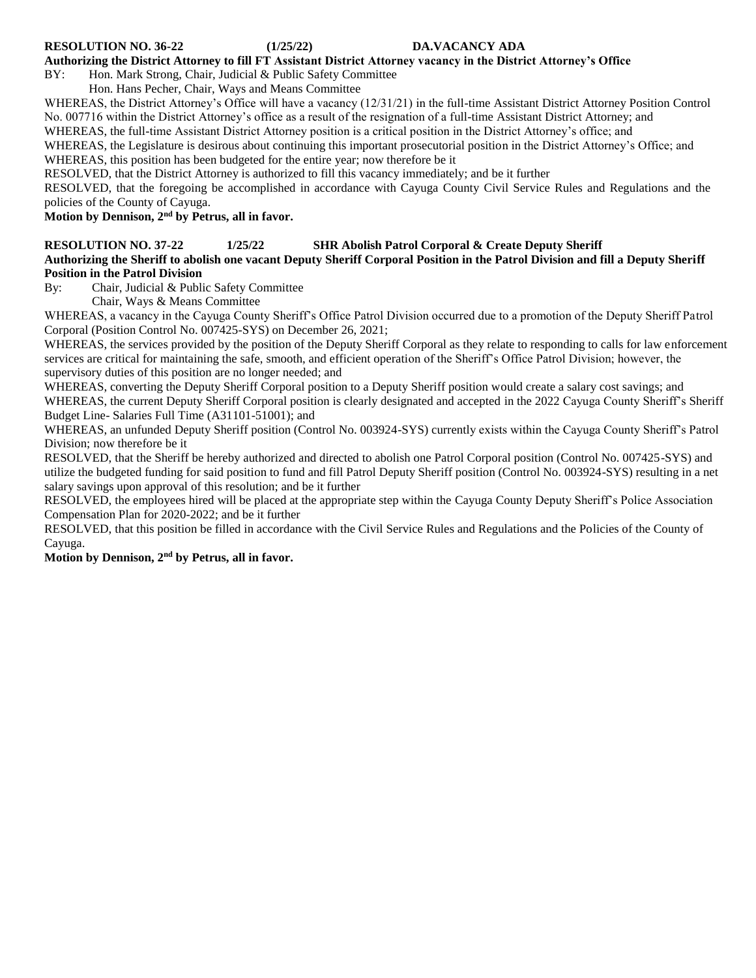#### **RESOLUTION NO. 36-22 (1/25/22) DA.VACANCY ADA**

#### **Authorizing the District Attorney to fill FT Assistant District Attorney vacancy in the District Attorney's Office**

BY: Hon. Mark Strong, Chair, Judicial & Public Safety Committee

Hon. Hans Pecher, Chair, Ways and Means Committee

WHEREAS, the District Attorney's Office will have a vacancy (12/31/21) in the full-time Assistant District Attorney Position Control No. 007716 within the District Attorney's office as a result of the resignation of a full-time Assistant District Attorney; and

WHEREAS, the full-time Assistant District Attorney position is a critical position in the District Attorney's office; and

WHEREAS, the Legislature is desirous about continuing this important prosecutorial position in the District Attorney's Office; and WHEREAS, this position has been budgeted for the entire year; now therefore be it

RESOLVED, that the District Attorney is authorized to fill this vacancy immediately; and be it further

RESOLVED, that the foregoing be accomplished in accordance with Cayuga County Civil Service Rules and Regulations and the policies of the County of Cayuga.

**Motion by Dennison, 2nd by Petrus, all in favor.**

### **RESOLUTION NO. 37-22 1/25/22 SHR Abolish Patrol Corporal & Create Deputy Sheriff**

**Authorizing the Sheriff to abolish one vacant Deputy Sheriff Corporal Position in the Patrol Division and fill a Deputy Sheriff Position in the Patrol Division**

By: Chair, Judicial & Public Safety Committee

Chair, Ways & Means Committee

WHEREAS, a vacancy in the Cayuga County Sheriff's Office Patrol Division occurred due to a promotion of the Deputy Sheriff Patrol Corporal (Position Control No. 007425-SYS) on December 26, 2021;

WHEREAS, the services provided by the position of the Deputy Sheriff Corporal as they relate to responding to calls for law enforcement services are critical for maintaining the safe, smooth, and efficient operation of the Sheriff's Office Patrol Division; however, the supervisory duties of this position are no longer needed; and

WHEREAS, converting the Deputy Sheriff Corporal position to a Deputy Sheriff position would create a salary cost savings; and WHEREAS, the current Deputy Sheriff Corporal position is clearly designated and accepted in the 2022 Cayuga County Sheriff's Sheriff Budget Line- Salaries Full Time (A31101-51001); and

WHEREAS, an unfunded Deputy Sheriff position (Control No. 003924-SYS) currently exists within the Cayuga County Sheriff's Patrol Division; now therefore be it

RESOLVED, that the Sheriff be hereby authorized and directed to abolish one Patrol Corporal position (Control No. 007425-SYS) and utilize the budgeted funding for said position to fund and fill Patrol Deputy Sheriff position (Control No. 003924-SYS) resulting in a net salary savings upon approval of this resolution; and be it further

RESOLVED, the employees hired will be placed at the appropriate step within the Cayuga County Deputy Sheriff's Police Association Compensation Plan for 2020-2022; and be it further

RESOLVED, that this position be filled in accordance with the Civil Service Rules and Regulations and the Policies of the County of Cayuga.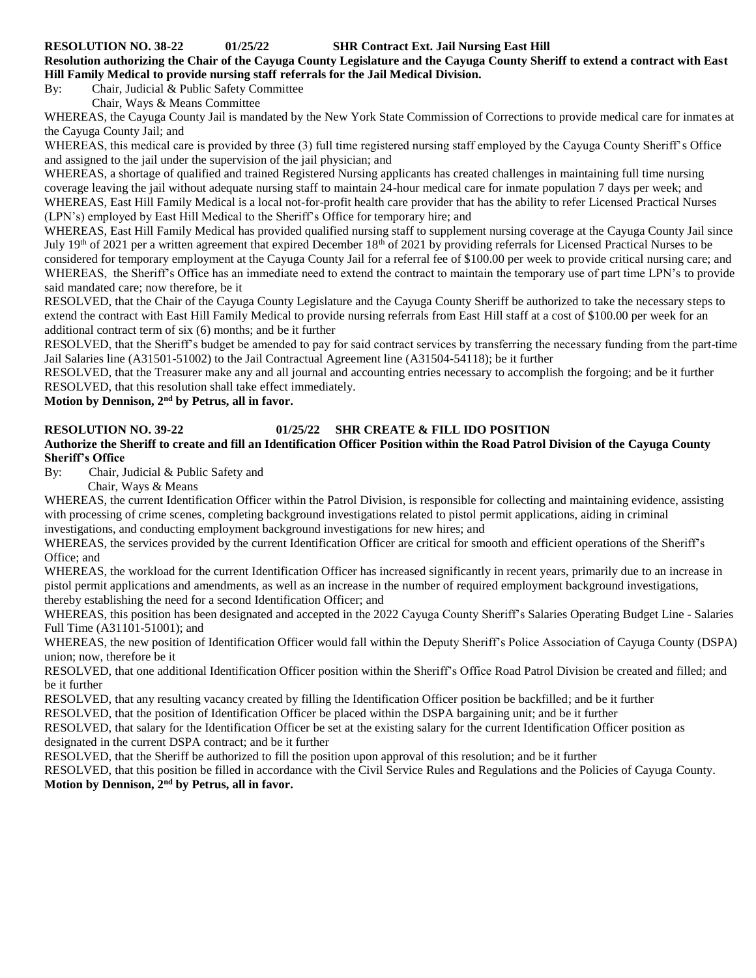**RESOLUTION NO. 38-22 01/25/22 SHR Contract Ext. Jail Nursing East Hill**

**Resolution authorizing the Chair of the Cayuga County Legislature and the Cayuga County Sheriff to extend a contract with East Hill Family Medical to provide nursing staff referrals for the Jail Medical Division.**

By: Chair, Judicial & Public Safety Committee

Chair, Ways & Means Committee

WHEREAS, the Cayuga County Jail is mandated by the New York State Commission of Corrections to provide medical care for inmates at the Cayuga County Jail; and

WHEREAS, this medical care is provided by three (3) full time registered nursing staff employed by the Cayuga County Sheriff's Office and assigned to the jail under the supervision of the jail physician; and

WHEREAS, a shortage of qualified and trained Registered Nursing applicants has created challenges in maintaining full time nursing coverage leaving the jail without adequate nursing staff to maintain 24-hour medical care for inmate population 7 days per week; and WHEREAS, East Hill Family Medical is a local not-for-profit health care provider that has the ability to refer Licensed Practical Nurses (LPN's) employed by East Hill Medical to the Sheriff's Office for temporary hire; and

WHEREAS, East Hill Family Medical has provided qualified nursing staff to supplement nursing coverage at the Cayuga County Jail since July 19<sup>th</sup> of 2021 per a written agreement that expired December 18<sup>th</sup> of 2021 by providing referrals for Licensed Practical Nurses to be considered for temporary employment at the Cayuga County Jail for a referral fee of \$100.00 per week to provide critical nursing care; and WHEREAS, the Sheriff's Office has an immediate need to extend the contract to maintain the temporary use of part time LPN's to provide said mandated care; now therefore, be it

RESOLVED, that the Chair of the Cayuga County Legislature and the Cayuga County Sheriff be authorized to take the necessary steps to extend the contract with East Hill Family Medical to provide nursing referrals from East Hill staff at a cost of \$100.00 per week for an additional contract term of six (6) months; and be it further

RESOLVED, that the Sheriff's budget be amended to pay for said contract services by transferring the necessary funding from the part-time Jail Salaries line (A31501-51002) to the Jail Contractual Agreement line (A31504-54118); be it further

RESOLVED, that the Treasurer make any and all journal and accounting entries necessary to accomplish the forgoing; and be it further RESOLVED, that this resolution shall take effect immediately.

**Motion by Dennison, 2nd by Petrus, all in favor.**

#### **RESOLUTION NO. 39-22 01/25/22 SHR CREATE & FILL IDO POSITION**

#### **Authorize the Sheriff to create and fill an Identification Officer Position within the Road Patrol Division of the Cayuga County Sheriff's Office**

By: Chair, Judicial & Public Safety and

Chair, Ways & Means

WHEREAS, the current Identification Officer within the Patrol Division, is responsible for collecting and maintaining evidence, assisting with processing of crime scenes, completing background investigations related to pistol permit applications, aiding in criminal investigations, and conducting employment background investigations for new hires; and

WHEREAS, the services provided by the current Identification Officer are critical for smooth and efficient operations of the Sheriff's Office; and

WHEREAS, the workload for the current Identification Officer has increased significantly in recent years, primarily due to an increase in pistol permit applications and amendments, as well as an increase in the number of required employment background investigations, thereby establishing the need for a second Identification Officer; and

WHEREAS, this position has been designated and accepted in the 2022 Cayuga County Sheriff's Salaries Operating Budget Line - Salaries Full Time (A31101-51001); and

WHEREAS, the new position of Identification Officer would fall within the Deputy Sheriff's Police Association of Cayuga County (DSPA) union; now, therefore be it

RESOLVED, that one additional Identification Officer position within the Sheriff's Office Road Patrol Division be created and filled; and be it further

RESOLVED, that any resulting vacancy created by filling the Identification Officer position be backfilled; and be it further

RESOLVED, that the position of Identification Officer be placed within the DSPA bargaining unit; and be it further

RESOLVED, that salary for the Identification Officer be set at the existing salary for the current Identification Officer position as designated in the current DSPA contract; and be it further

RESOLVED, that the Sheriff be authorized to fill the position upon approval of this resolution; and be it further

RESOLVED, that this position be filled in accordance with the Civil Service Rules and Regulations and the Policies of Cayuga County. **Motion by Dennison, 2nd by Petrus, all in favor.**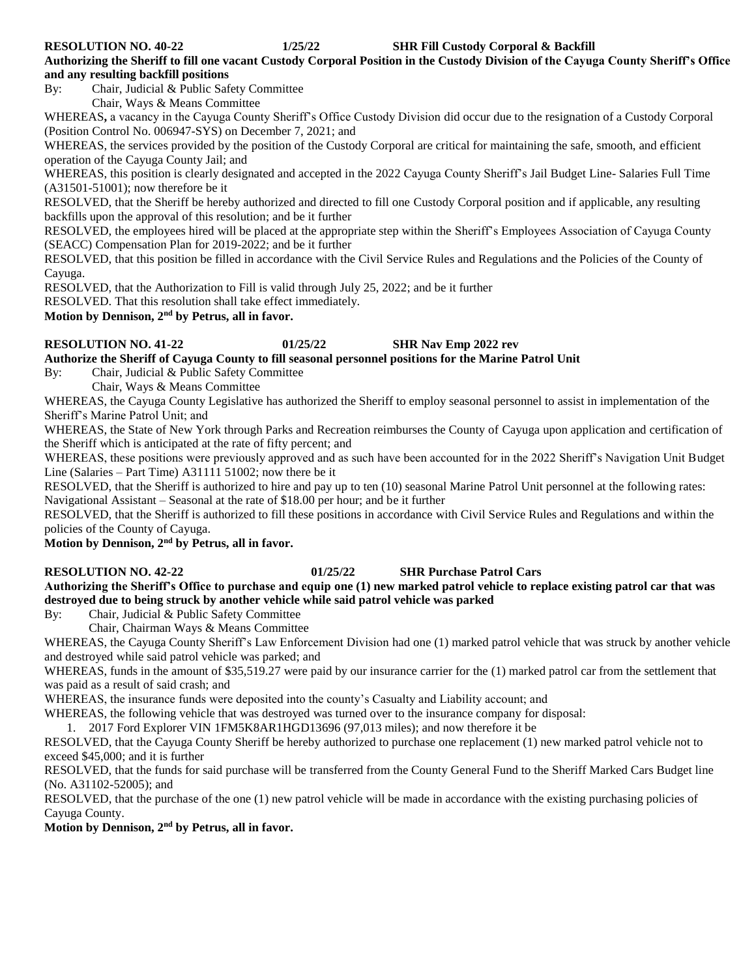**RESOLUTION NO. 40-22 1/25/22 SHR Fill Custody Corporal & Backfill** 

**Authorizing the Sheriff to fill one vacant Custody Corporal Position in the Custody Division of the Cayuga County Sheriff's Office and any resulting backfill positions**

By: Chair, Judicial & Public Safety Committee

Chair, Ways & Means Committee

WHEREAS**,** a vacancy in the Cayuga County Sheriff's Office Custody Division did occur due to the resignation of a Custody Corporal (Position Control No. 006947-SYS) on December 7, 2021; and

WHEREAS, the services provided by the position of the Custody Corporal are critical for maintaining the safe, smooth, and efficient operation of the Cayuga County Jail; and

WHEREAS, this position is clearly designated and accepted in the 2022 Cayuga County Sheriff's Jail Budget Line- Salaries Full Time (A31501-51001); now therefore be it

RESOLVED, that the Sheriff be hereby authorized and directed to fill one Custody Corporal position and if applicable, any resulting backfills upon the approval of this resolution; and be it further

RESOLVED, the employees hired will be placed at the appropriate step within the Sheriff's Employees Association of Cayuga County (SEACC) Compensation Plan for 2019-2022; and be it further

RESOLVED, that this position be filled in accordance with the Civil Service Rules and Regulations and the Policies of the County of Cayuga.

RESOLVED, that the Authorization to Fill is valid through July 25, 2022; and be it further

RESOLVED. That this resolution shall take effect immediately.

**Motion by Dennison, 2nd by Petrus, all in favor.**

#### **RESOLUTION NO. 41-22 01/25/22 SHR Nav Emp 2022 rev**

#### **Authorize the Sheriff of Cayuga County to fill seasonal personnel positions for the Marine Patrol Unit**

By: Chair, Judicial & Public Safety Committee

Chair, Ways & Means Committee

WHEREAS, the Cayuga County Legislative has authorized the Sheriff to employ seasonal personnel to assist in implementation of the Sheriff's Marine Patrol Unit; and

WHEREAS, the State of New York through Parks and Recreation reimburses the County of Cayuga upon application and certification of the Sheriff which is anticipated at the rate of fifty percent; and

WHEREAS, these positions were previously approved and as such have been accounted for in the 2022 Sheriff's Navigation Unit Budget Line (Salaries – Part Time) A31111 51002; now there be it

RESOLVED, that the Sheriff is authorized to hire and pay up to ten (10) seasonal Marine Patrol Unit personnel at the following rates: Navigational Assistant – Seasonal at the rate of \$18.00 per hour; and be it further

RESOLVED, that the Sheriff is authorized to fill these positions in accordance with Civil Service Rules and Regulations and within the policies of the County of Cayuga.

**Motion by Dennison, 2nd by Petrus, all in favor.**

### **RESOLUTION NO. 42-22 01/25/22 SHR Purchase Patrol Cars**

#### **Authorizing the Sheriff's Office to purchase and equip one (1) new marked patrol vehicle to replace existing patrol car that was destroyed due to being struck by another vehicle while said patrol vehicle was parked**

By: Chair, Judicial & Public Safety Committee

Chair, Chairman Ways & Means Committee

WHEREAS, the Cayuga County Sheriff's Law Enforcement Division had one (1) marked patrol vehicle that was struck by another vehicle and destroyed while said patrol vehicle was parked; and

WHEREAS, funds in the amount of \$35,519.27 were paid by our insurance carrier for the (1) marked patrol car from the settlement that was paid as a result of said crash; and

WHEREAS, the insurance funds were deposited into the county's Casualty and Liability account; and

WHEREAS, the following vehicle that was destroyed was turned over to the insurance company for disposal:

1. 2017 Ford Explorer VIN 1FM5K8AR1HGD13696 (97,013 miles); and now therefore it be

RESOLVED, that the Cayuga County Sheriff be hereby authorized to purchase one replacement (1) new marked patrol vehicle not to exceed \$45,000; and it is further

RESOLVED, that the funds for said purchase will be transferred from the County General Fund to the Sheriff Marked Cars Budget line (No. A31102-52005); and

RESOLVED, that the purchase of the one (1) new patrol vehicle will be made in accordance with the existing purchasing policies of Cayuga County.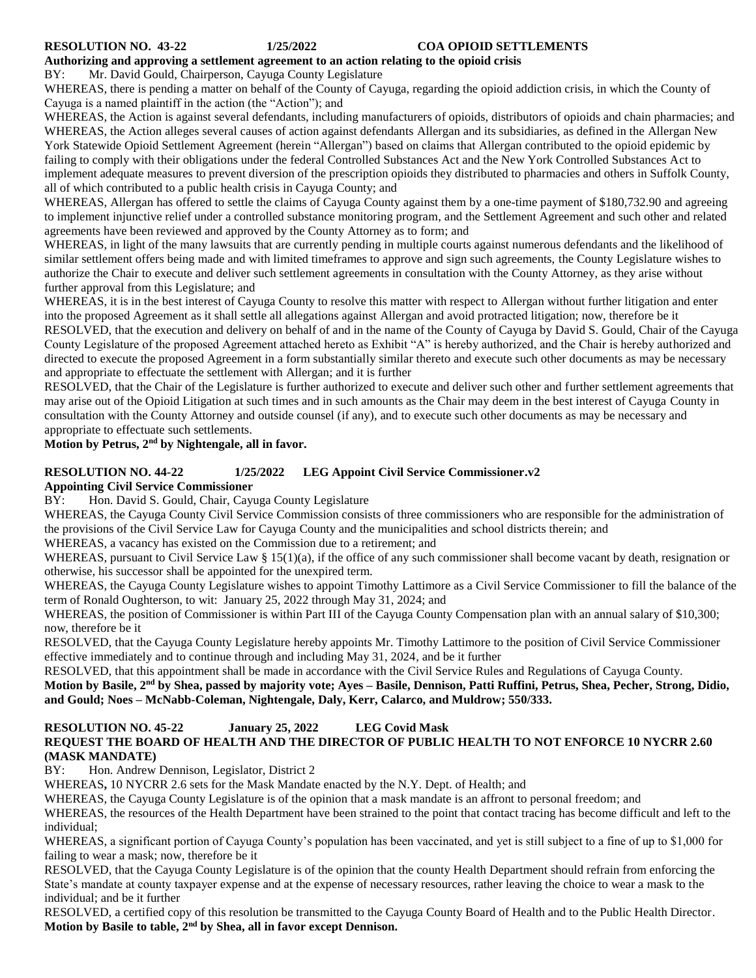### **Authorizing and approving a settlement agreement to an action relating to the opioid crisis**

#### BY: Mr. David Gould, Chairperson, Cayuga County Legislature

WHEREAS, there is pending a matter on behalf of the County of Cayuga, regarding the opioid addiction crisis, in which the County of Cayuga is a named plaintiff in the action (the "Action"); and

WHEREAS, the Action is against several defendants, including manufacturers of opioids, distributors of opioids and chain pharmacies; and WHEREAS, the Action alleges several causes of action against defendants Allergan and its subsidiaries, as defined in the Allergan New York Statewide Opioid Settlement Agreement (herein "Allergan") based on claims that Allergan contributed to the opioid epidemic by failing to comply with their obligations under the federal Controlled Substances Act and the New York Controlled Substances Act to implement adequate measures to prevent diversion of the prescription opioids they distributed to pharmacies and others in Suffolk County, all of which contributed to a public health crisis in Cayuga County; and

WHEREAS, Allergan has offered to settle the claims of Cayuga County against them by a one-time payment of \$180,732.90 and agreeing to implement injunctive relief under a controlled substance monitoring program, and the Settlement Agreement and such other and related agreements have been reviewed and approved by the County Attorney as to form; and

WHEREAS, in light of the many lawsuits that are currently pending in multiple courts against numerous defendants and the likelihood of similar settlement offers being made and with limited timeframes to approve and sign such agreements, the County Legislature wishes to authorize the Chair to execute and deliver such settlement agreements in consultation with the County Attorney, as they arise without further approval from this Legislature; and

WHEREAS, it is in the best interest of Cayuga County to resolve this matter with respect to Allergan without further litigation and enter into the proposed Agreement as it shall settle all allegations against Allergan and avoid protracted litigation; now, therefore be it RESOLVED, that the execution and delivery on behalf of and in the name of the County of Cayuga by David S. Gould, Chair of the Cayuga County Legislature of the proposed Agreement attached hereto as Exhibit "A" is hereby authorized, and the Chair is hereby authorized and directed to execute the proposed Agreement in a form substantially similar thereto and execute such other documents as may be necessary and appropriate to effectuate the settlement with Allergan; and it is further

RESOLVED, that the Chair of the Legislature is further authorized to execute and deliver such other and further settlement agreements that may arise out of the Opioid Litigation at such times and in such amounts as the Chair may deem in the best interest of Cayuga County in consultation with the County Attorney and outside counsel (if any), and to execute such other documents as may be necessary and appropriate to effectuate such settlements.

#### **Motion by Petrus, 2nd by Nightengale, all in favor.**

#### **RESOLUTION NO. 44-22 1/25/2022 LEG Appoint Civil Service Commissioner.v2**

**Appointing Civil Service Commissioner**

BY: Hon. David S. Gould, Chair, Cayuga County Legislature

WHEREAS, the Cayuga County Civil Service Commission consists of three commissioners who are responsible for the administration of the provisions of the Civil Service Law for Cayuga County and the municipalities and school districts therein; and

WHEREAS, a vacancy has existed on the Commission due to a retirement; and

WHEREAS, pursuant to Civil Service Law § 15(1)(a), if the office of any such commissioner shall become vacant by death, resignation or otherwise, his successor shall be appointed for the unexpired term.

WHEREAS, the Cayuga County Legislature wishes to appoint Timothy Lattimore as a Civil Service Commissioner to fill the balance of the term of Ronald Oughterson, to wit: January 25, 2022 through May 31, 2024; and

WHEREAS, the position of Commissioner is within Part III of the Cayuga County Compensation plan with an annual salary of \$10,300; now, therefore be it

RESOLVED, that the Cayuga County Legislature hereby appoints Mr. Timothy Lattimore to the position of Civil Service Commissioner effective immediately and to continue through and including May 31, 2024, and be it further

RESOLVED, that this appointment shall be made in accordance with the Civil Service Rules and Regulations of Cayuga County. **Motion by Basile, 2nd by Shea, passed by majority vote; Ayes – Basile, Dennison, Patti Ruffini, Petrus, Shea, Pecher, Strong, Didio, and Gould; Noes – McNabb-Coleman, Nightengale, Daly, Kerr, Calarco, and Muldrow; 550/333.** 

#### **RESOLUTION NO. 45-22 January 25, 2022 LEG Covid Mask REQUEST THE BOARD OF HEALTH AND THE DIRECTOR OF PUBLIC HEALTH TO NOT ENFORCE 10 NYCRR 2.60 (MASK MANDATE)**

BY: Hon. Andrew Dennison, Legislator, District 2

WHEREAS**,** 10 NYCRR 2.6 sets for the Mask Mandate enacted by the N.Y. Dept. of Health; and

WHEREAS, the Cayuga County Legislature is of the opinion that a mask mandate is an affront to personal freedom; and

WHEREAS, the resources of the Health Department have been strained to the point that contact tracing has become difficult and left to the individual;

WHEREAS, a significant portion of Cayuga County's population has been vaccinated, and yet is still subject to a fine of up to \$1,000 for failing to wear a mask; now, therefore be it

RESOLVED, that the Cayuga County Legislature is of the opinion that the county Health Department should refrain from enforcing the State's mandate at county taxpayer expense and at the expense of necessary resources, rather leaving the choice to wear a mask to the individual; and be it further

RESOLVED, a certified copy of this resolution be transmitted to the Cayuga County Board of Health and to the Public Health Director. **Motion by Basile to table, 2nd by Shea, all in favor except Dennison.**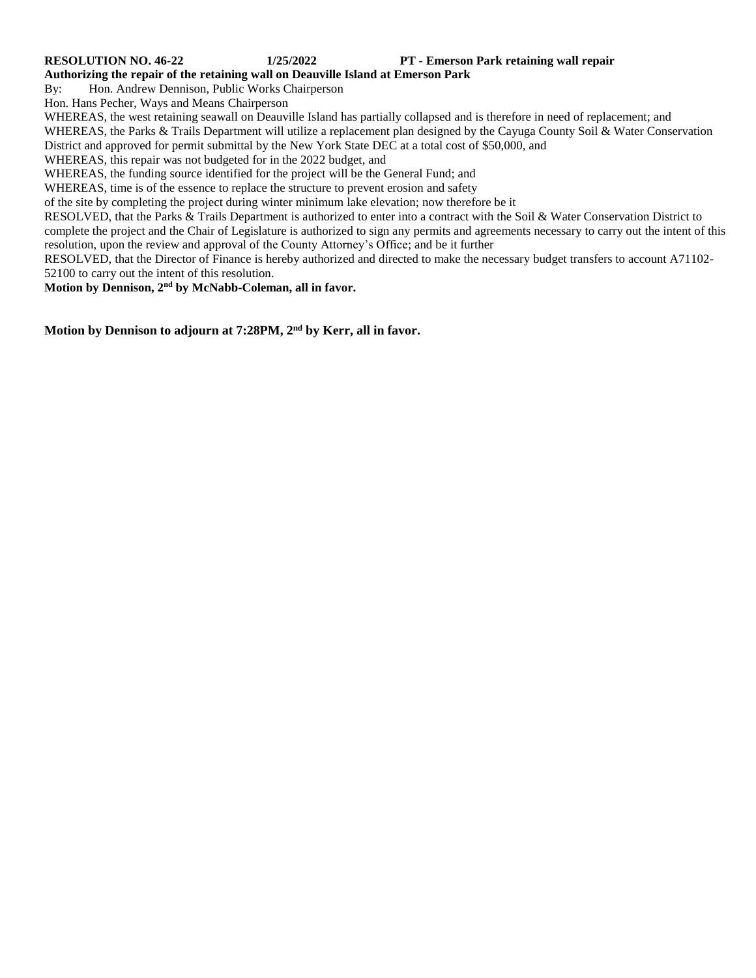#### **RESOLUTION NO. 46-22 1/25/2022 PT - Emerson Park retaining wall repair**

**Authorizing the repair of the retaining wall on Deauville Island at Emerson Park**

By: Hon. Andrew Dennison, Public Works Chairperson

Hon. Hans Pecher, Ways and Means Chairperson

WHEREAS, the west retaining seawall on Deauville Island has partially collapsed and is therefore in need of replacement; and WHEREAS, the Parks & Trails Department will utilize a replacement plan designed by the Cayuga County Soil & Water Conservation District and approved for permit submittal by the New York State DEC at a total cost of \$50,000, and

WHEREAS, this repair was not budgeted for in the 2022 budget, and

WHEREAS, the funding source identified for the project will be the General Fund; and

WHEREAS, time is of the essence to replace the structure to prevent erosion and safety

of the site by completing the project during winter minimum lake elevation; now therefore be it

RESOLVED, that the Parks & Trails Department is authorized to enter into a contract with the Soil & Water Conservation District to complete the project and the Chair of Legislature is authorized to sign any permits and agreements necessary to carry out the intent of this resolution, upon the review and approval of the County Attorney's Office; and be it further

RESOLVED, that the Director of Finance is hereby authorized and directed to make the necessary budget transfers to account A71102- 52100 to carry out the intent of this resolution.

**Motion by Dennison, 2nd by McNabb-Coleman, all in favor.** 

**Motion by Dennison to adjourn at 7:28PM, 2nd by Kerr, all in favor.**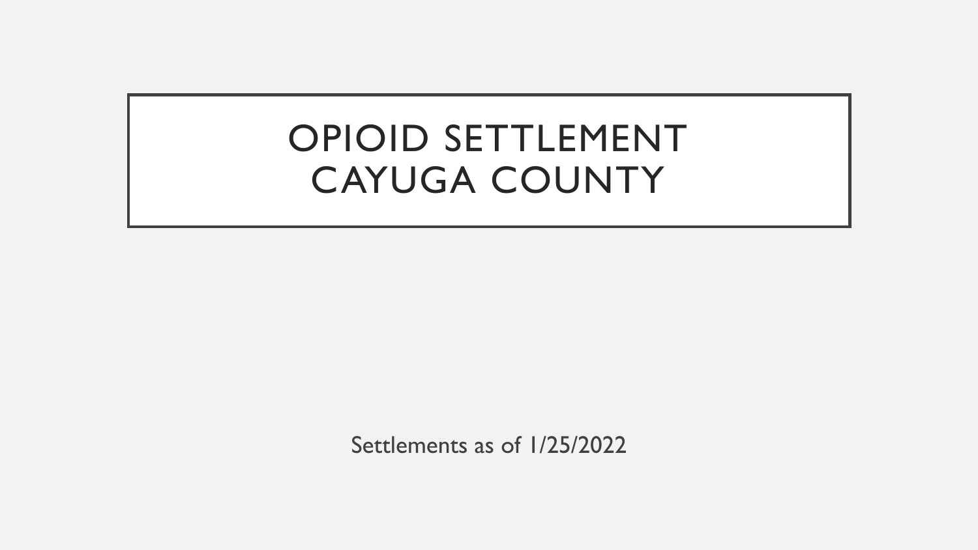## OPIOID SETTLEMENT CAYUGA COUNTY

Settlements as of 1/25/2022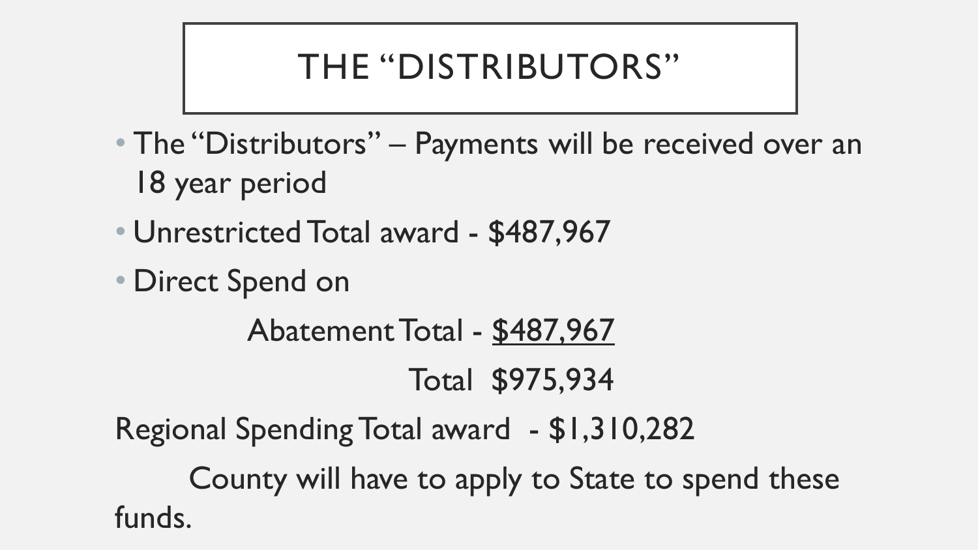## THE "DISTRIBUTORS"

- The "Distributors" Payments will be received over an 18 year period
- Unrestricted Total award \$487,967
- Direct Spend on

Abatement Total - \$487,967 Total \$975,934

Regional Spending Total award - \$1,310,282

County will have to apply to State to spend these funds.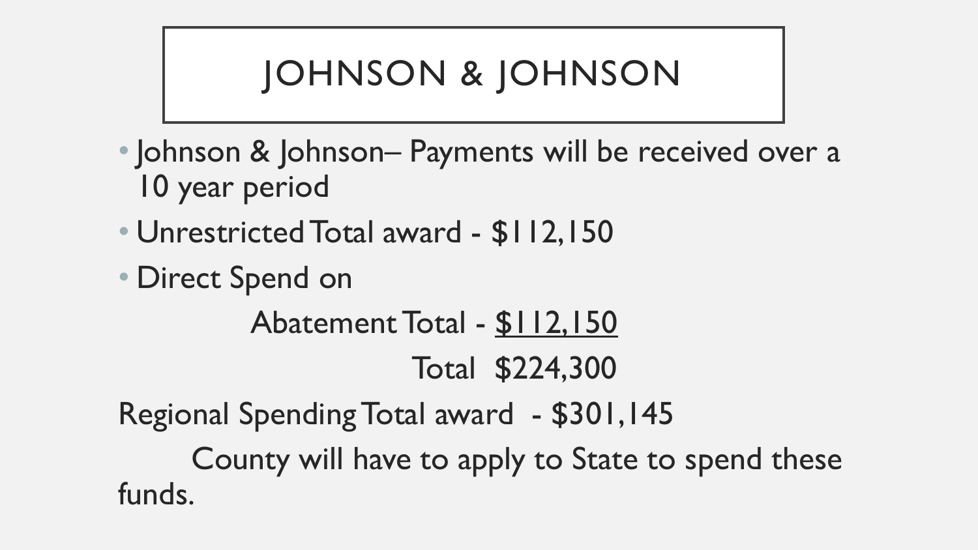# JOHNSON & JOHNSON

- Johnson & Johnson– Payments will be received over a 10 year period
- Unrestricted Total award \$112,150
- Direct Spend on

Abatement Total - \$112,150 Total \$224,300

Regional Spending Total award - \$301,145

County will have to apply to State to spend these funds.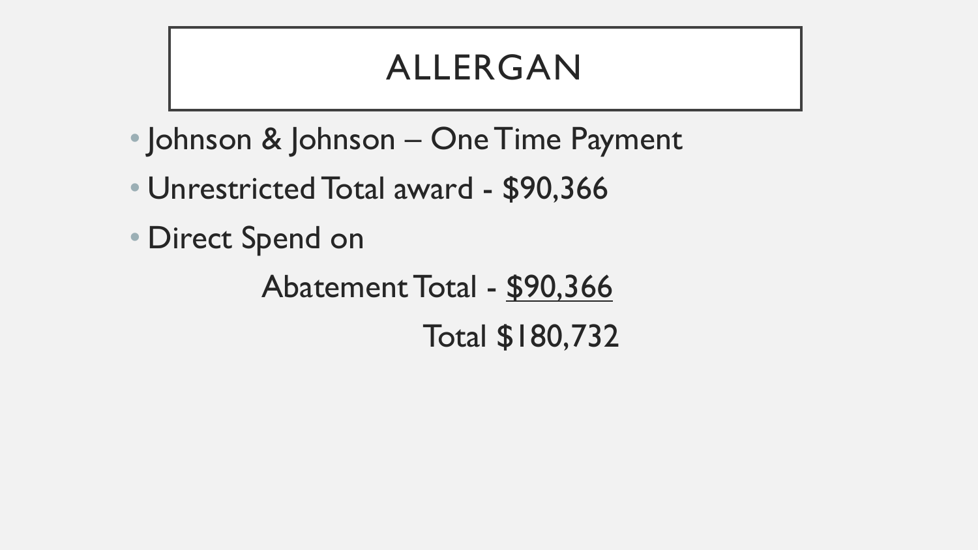## ALLERGAN

- Johnson & Johnson One Time Payment
- Unrestricted Total award \$90,366
- Direct Spend on

Abatement Total - \$90,366 Total \$180,732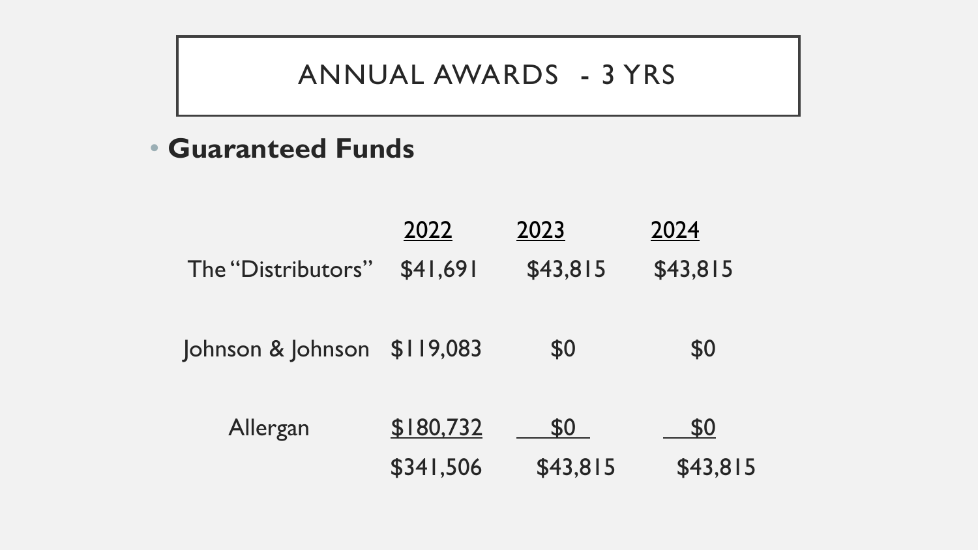### ANNUAL AWARDS - 3 YRS

• **Guaranteed Funds**

|                             | 2022      | 2023     | 2024     |
|-----------------------------|-----------|----------|----------|
| The "Distributors"          | \$41,691  | \$43,815 | \$43,815 |
| Johnson & Johnson \$119,083 |           | \$0      | \$0      |
| Allergan                    | \$180,732 | \$0      | \$0      |
|                             | \$341,506 | \$43,815 | \$43,815 |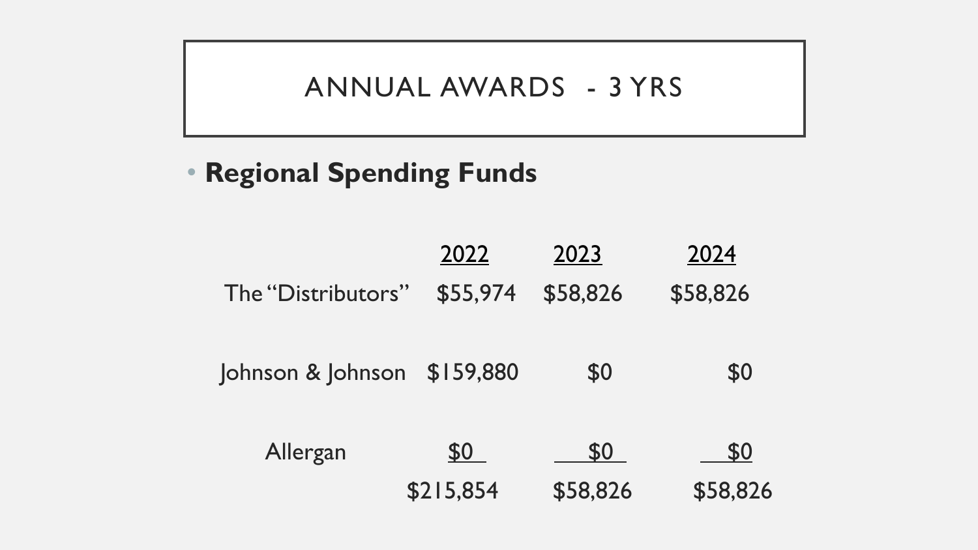### ANNUAL AWARDS - 3 YRS

### • **Regional Spending Funds**

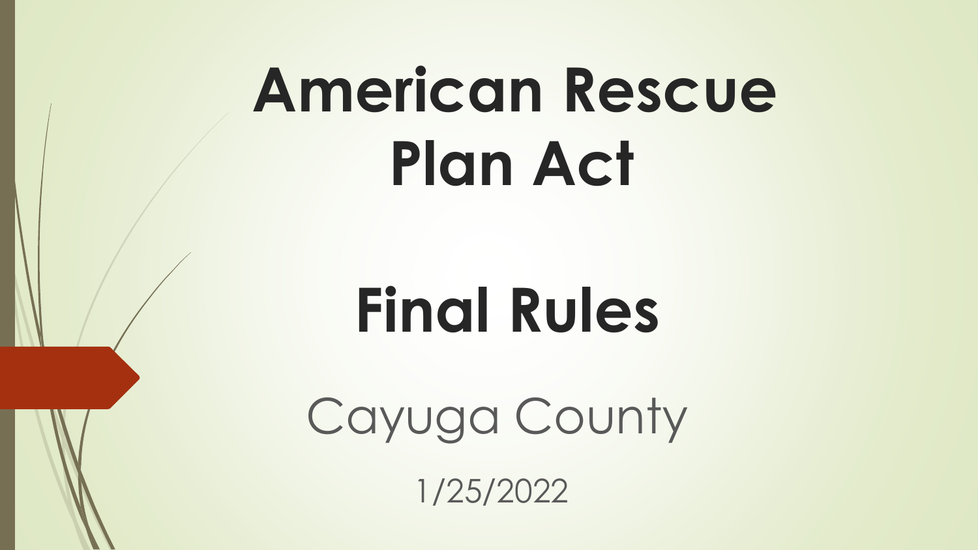# **American Rescue Plan Act**

# **Final Rules**

Cayuga County

1/25/2022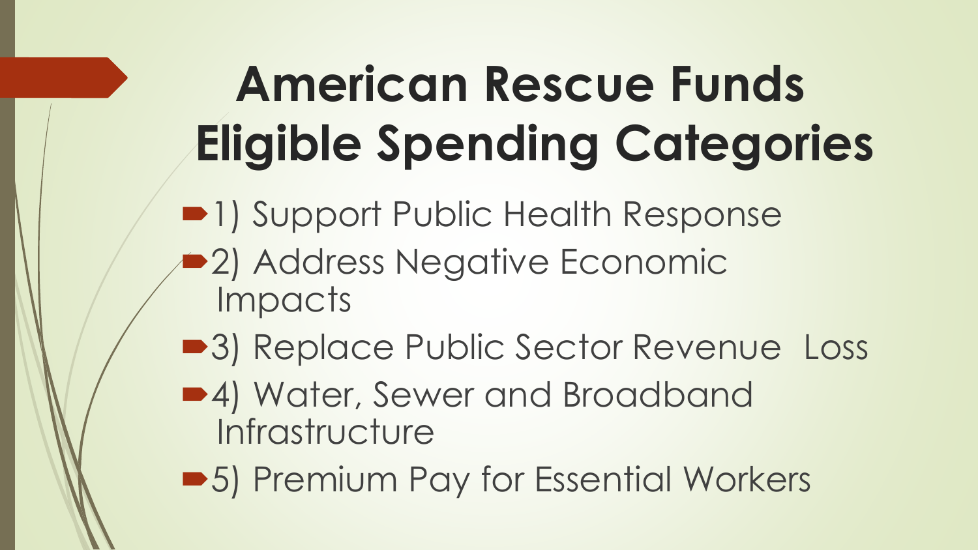# **American Rescue Funds Eligible Spending Categories**

**•1) Support Public Health Response** 

- **2) Address Negative Economic** Impacts
- ■3) Replace Public Sector Revenue Loss
- 4) Water, Sewer and Broadband **Infrastructure**
- ■5) Premium Pay for Essential Workers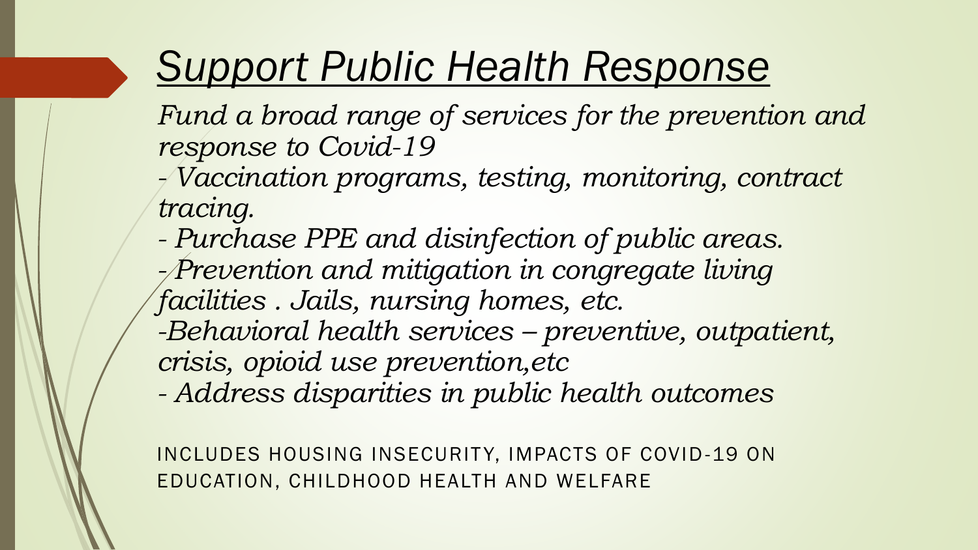# *Support Public Health Response*

- *Fund a broad range of services for the prevention and response to Covid-19*
- *- Vaccination programs, testing, monitoring, contract tracing.*
- *- Purchase PPE and disinfection of public areas. - Prevention and mitigation in congregate living facilities . Jails, nursing homes, etc. -Behavioral health services – preventive, outpatient,*
- *crisis, opioid use prevention,etc*
- *- Address disparities in public health outcomes*

INCLUDES HOUSING INSECURITY, IMPACTS OF COVID-19 ON EDUCATION, CHILDHOOD HEALTH AND WELFARE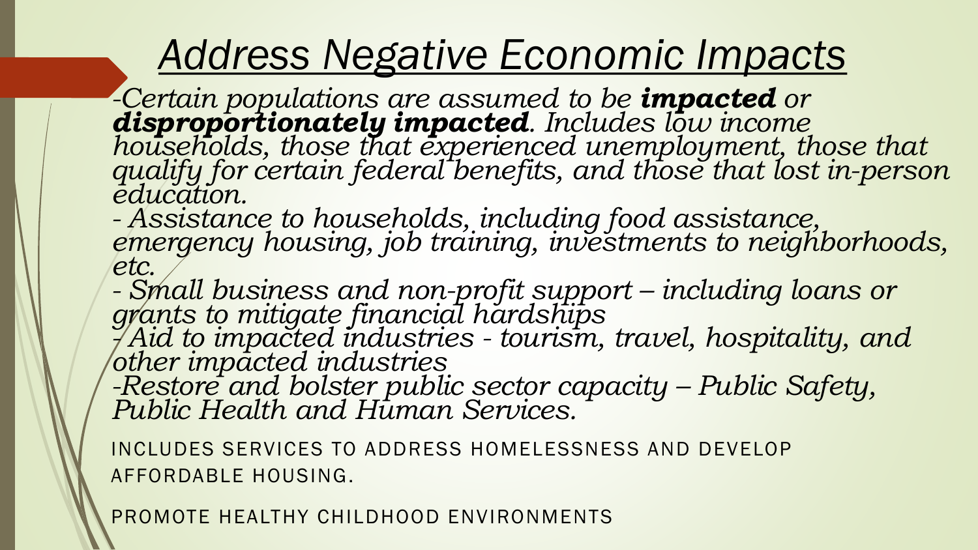## *Address Negative Economic Impacts*

*-Certain populations are assumed to be impacted or disproportionately impacted. Includes low income households, those that experienced unemployment, those that qualify for certain federal benefits, and those that lost in-person education.*

*- Assistance to households, including food assistance, emergency housing, job training, investments to neighborhoods, etc.*

*- Small business and non-profit support – including loans or grants to mitigate financial hardships*

*- Aid to impacted industries - tourism, travel, hospitality, and other impacted industries*

*-Restore and bolster public sector capacity – Public Safety, Public Health and Human Services.*

INCLUDES SERVICES TO ADDRESS HOMELESSNESS AND DEVELOP AFFORDABLE HOUSING.

PROMOTE HEALTHY CHILDHOOD ENVIRONMENTS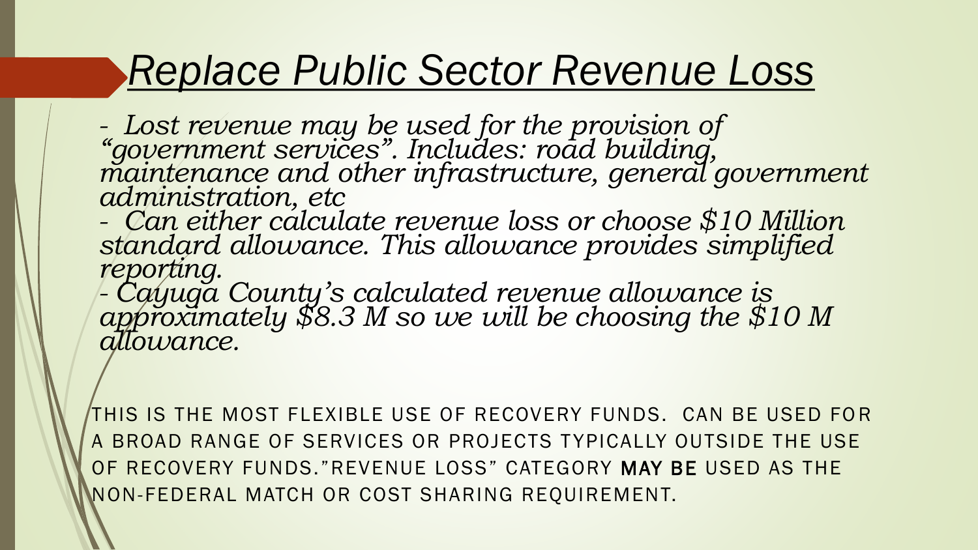## *Replace Public Sector Revenue Loss*

*- Lost revenue may be used for the provision of "government services". Includes: road building,*  maintenance and other infrastructure, general government *administration, etc*

*- Can either calculate revenue loss or choose \$10 Million standard allowance. This allowance provides simplified reporting.*

*- Cayuga County's calculated revenue allowance is approximately \$8.3 M so we will be choosing the \$10 M allowance.*

THIS IS THE MOST FLEXIBLE USE OF RECOVERY FUNDS. CAN BE USED FOR A BROAD RANGE OF SERVICES OR PROJECTS TYPICALLY OUTSIDE THE USE OF RECOVERY FUNDS."REVENUE LOSS" CATEGORY MAY BE USED AS THE NON-FEDERAL MATCH OR COST SHARING REQUIREMENT.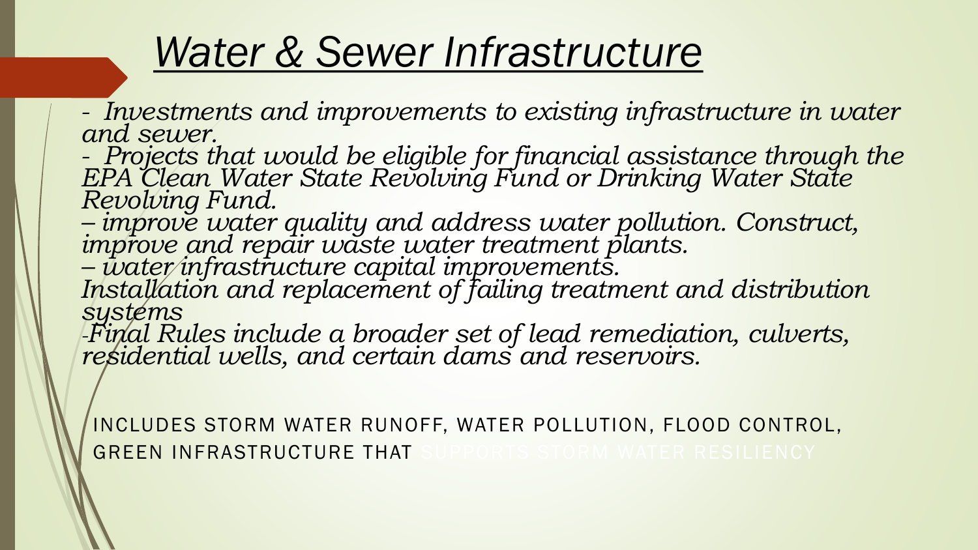## *Water & Sewer Infrastructure*

*- Investments and improvements to existing infrastructure in water and sewer.*

*- Projects that would be eligible for financial assistance through the EPA Clean Water State Revolving Fund or Drinking Water State Revolving Fund.*

*– improve water quality and address water pollution. Construct, improve and repair waste water treatment plants.*

*– water infrastructure capital improvements.*

*Installation and replacement of failing treatment and distribution systems*

*-Final Rules include a broader set of lead remediation, culverts, residential wells, and certain dams and reservoirs.*

INCLUDES STORM WATER RUNOFF, WATER POLLUTION, FLOOD CONTROL, GREEN INFRASTRUCTURE THAT SUPPORTS STORM WATER RESILIENCY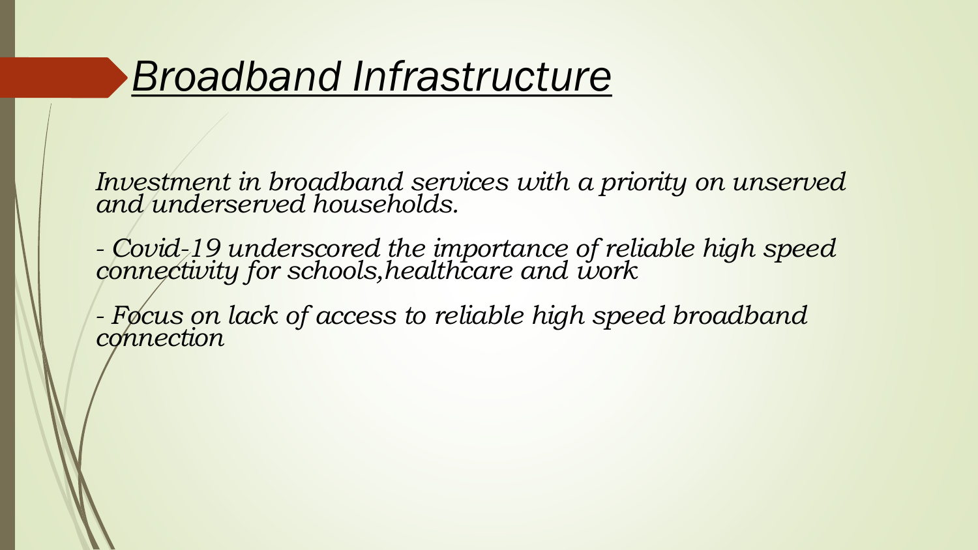## *Broadband Infrastructure*

*Investment in broadband services with a priority on unserved and underserved households.*

*- Covid-19 underscored the importance of reliable high speed connectivity for schools,healthcare and work.*

*- Focus on lack of access to reliable high speed broadband connection*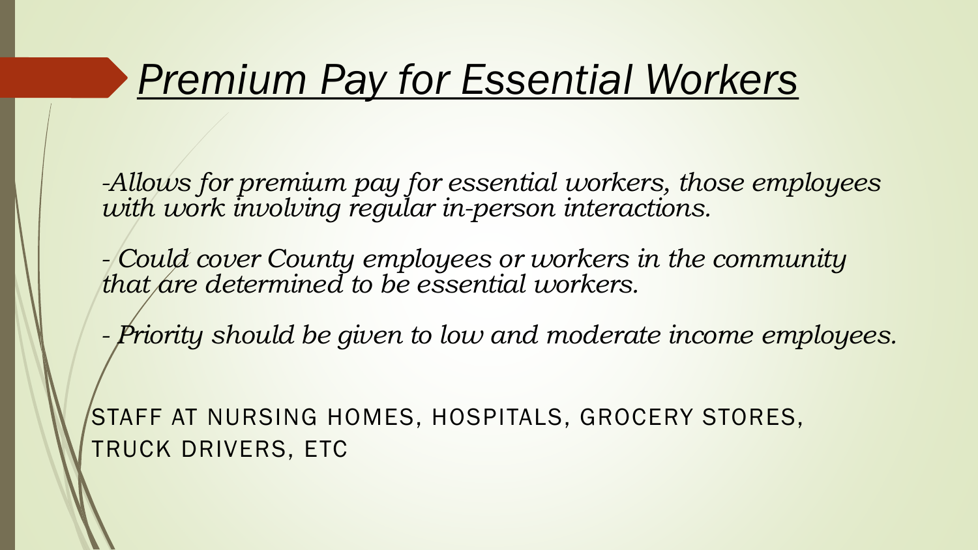## *Premium Pay for Essential Workers*

*-Allows for premium pay for essential workers, those employees with work involving regular in-person interactions.*

*- Could cover County employees or workers in the community that are determined to be essential workers.*

*- Priority should be given to low and moderate income employees.*

STAFF AT NURSING HOMES, HOSPITALS, GROCERY STORES, TRUCK DRIVERS, ETC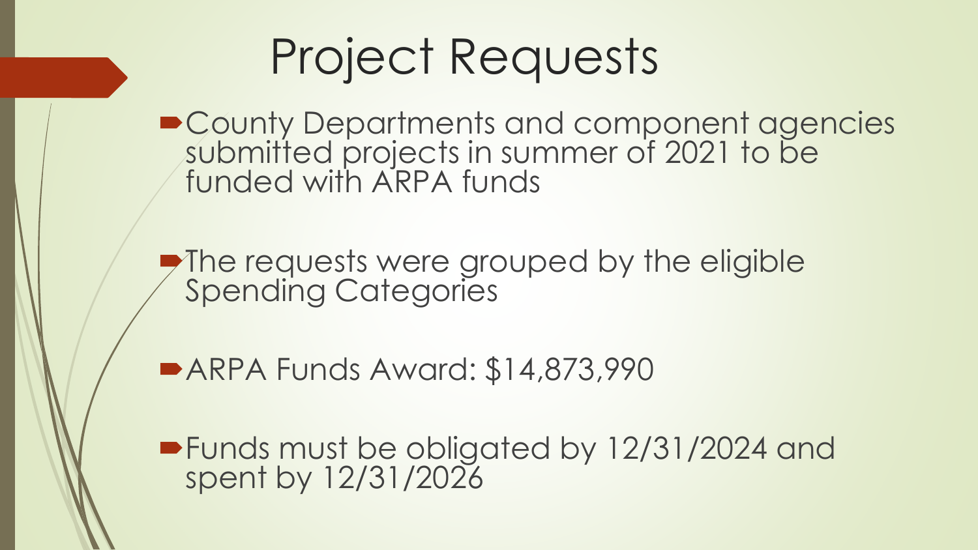# Project Requests

■ County Departments and component agencies submitted projects in summer of 2021 to be funded with ARPA funds

The requests were grouped by the eligible Spending Categories

ARPA Funds Award: \$14,873,990

Funds must be obligated by 12/31/2024 and spent by 12/31/2026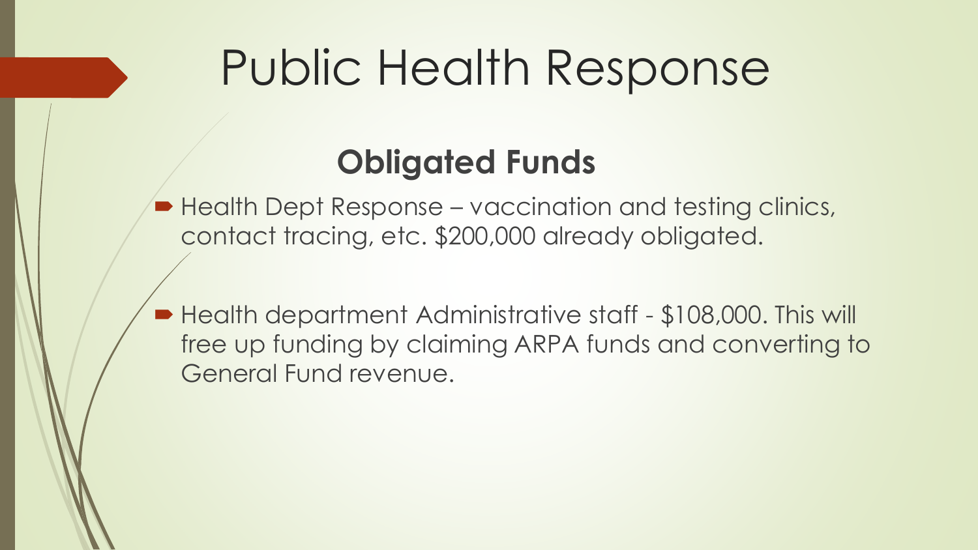# Public Health Response

## **Obligated Funds**

■ Health Dept Response – vaccination and testing clinics, contact tracing, etc. \$200,000 already obligated.

■ Health department Administrative staff - \$108,000. This will free up funding by claiming ARPA funds and converting to General Fund revenue.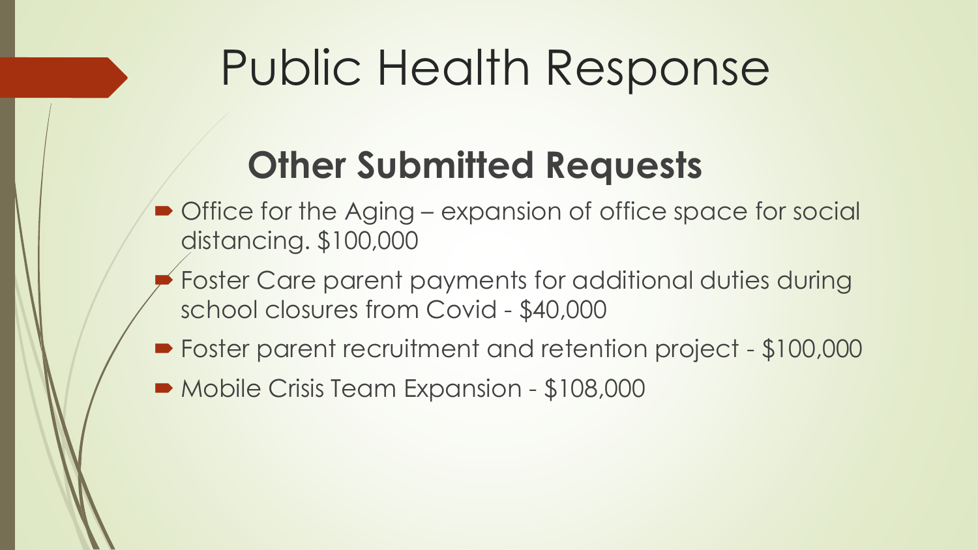# Public Health Response

- Office for the Aging expansion of office space for social distancing. \$100,000
- Foster Care parent payments for additional duties during school closures from Covid - \$40,000
- Foster parent recruitment and retention project \$100,000
- Mobile Crisis Team Expansion \$108,000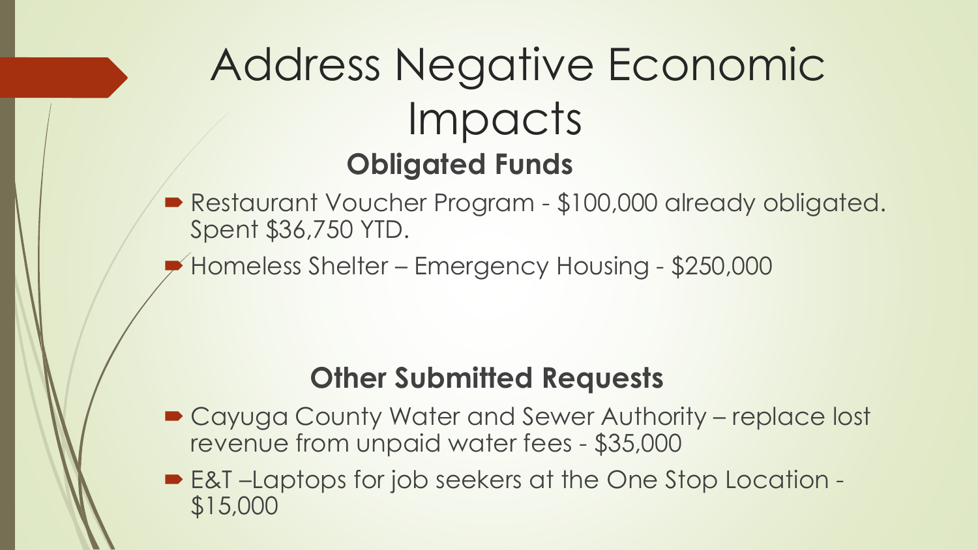# Address Negative Economic Impacts **Obligated Funds**

- Restaurant Voucher Program \$100,000 already obligated. Spent \$36,750 YTD.
- Homeless Shelter Emergency Housing \$250,000

- Cayuga County Water and Sewer Authority replace lost revenue from unpaid water fees - \$35,000
- E&T-Laptops for job seekers at the One Stop Location -\$15,000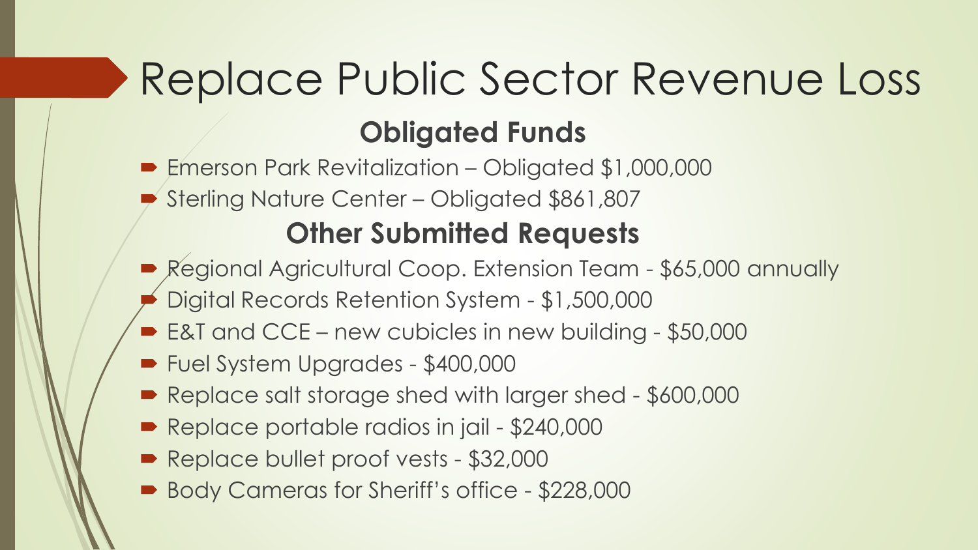# Replace Public Sector Revenue Loss **Obligated Funds**

 Emerson Park Revitalization – Obligated \$1,000,000 Sterling Nature Center – Obligated \$861,807

- Regional Agricultural Coop. Extension Team \$65,000 annually
- Digital Records Retention System \$1,500,000
- E&T and CCE new cubicles in new building \$50,000
- Fuel System Upgrades \$400,000
- Replace salt storage shed with larger shed \$600,000
- Replace portable radios in jail \$240,000
- Replace bullet proof vests \$32,000
- Body Cameras for Sheriff's office \$228,000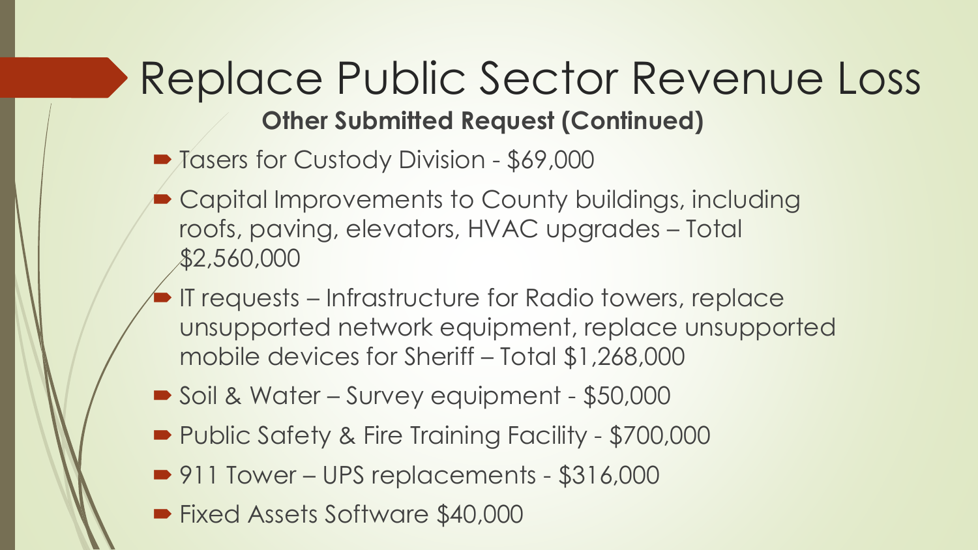## Replace Public Sector Revenue Loss **Other Submitted Request (Continued)**

- Tasers for Custody Division \$69,000
- Capital Improvements to County buildings, including roofs, paving, elevators, HVAC upgrades – Total \$2,560,000
- IT requests Infrastructure for Radio towers, replace unsupported network equipment, replace unsupported mobile devices for Sheriff – Total \$1,268,000
- Soil & Water Survey equipment \$50,000
- Public Safety & Fire Training Facility \$700,000
- 911 Tower UPS replacements \$316,000
- Fixed Assets Software \$40,000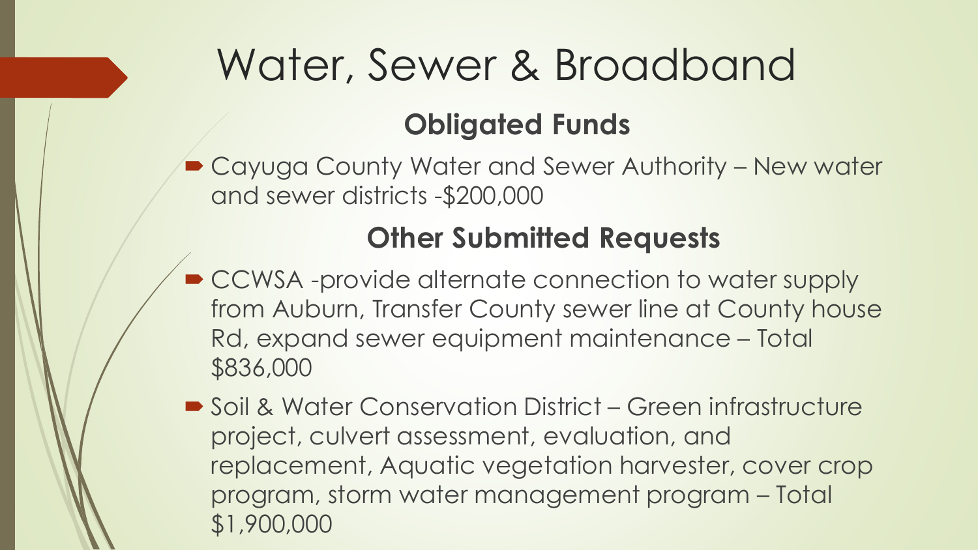# Water, Sewer & Broadband

### **Obligated Funds**

■ Cayuga County Water and Sewer Authority – New water and sewer districts -\$200,000

- CCWSA -provide alternate connection to water supply from Auburn, Transfer County sewer line at County house Rd, expand sewer equipment maintenance – Total \$836,000
- Soil & Water Conservation District Green infrastructure project, culvert assessment, evaluation, and replacement, Aquatic vegetation harvester, cover crop program, storm water management program – Total \$1,900,000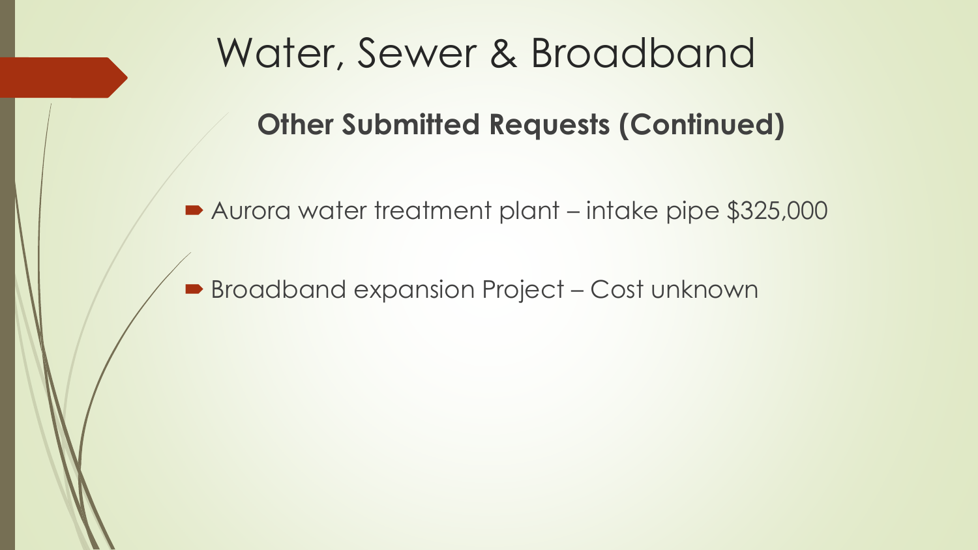## Water, Sewer & Broadband

**Other Submitted Requests (Continued)** 

■ Aurora water treatment plant – intake pipe \$325,000

**Broadband expansion Project - Cost unknown**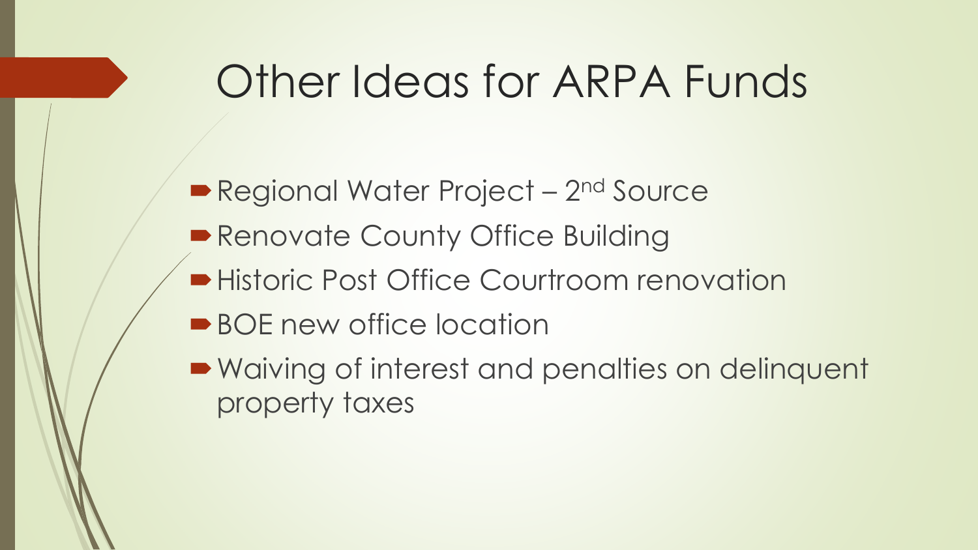# Other Ideas for ARPA Funds

Regional Water Project - 2<sup>nd</sup> Source **Renovate County Office Building Historic Post Office Courtroom renovation** ■ BOE new office location

■ Waiving of interest and penalties on delinquent property taxes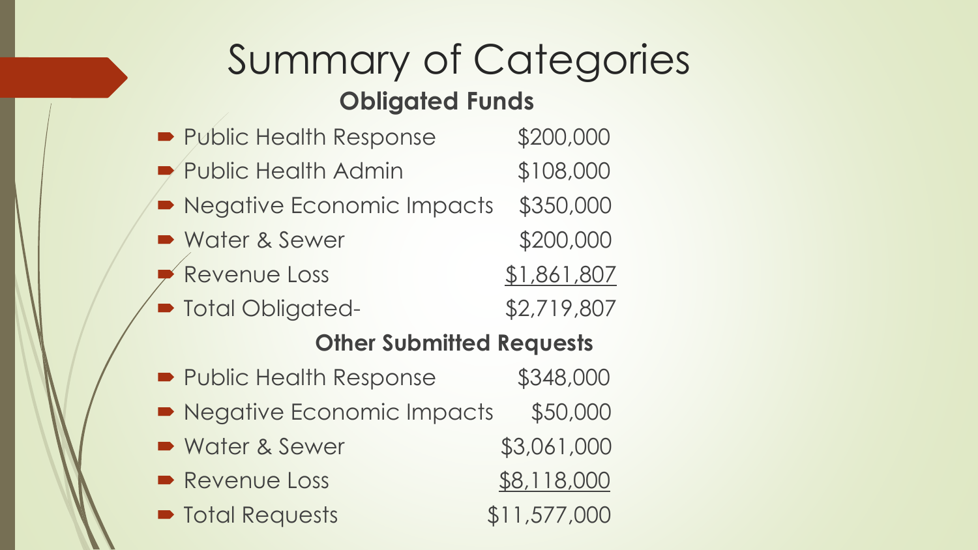## Summary of Categories **Obligated Funds**

## ■ Public Health Response \$200,000 ■ Public Health Admin \$108,000 Regative Economic Impacts \$350,000 • Water & Sewer \$200,000 Revenue Loss \$1,861,807 ■ Total Obligated- \$2,719,807

### **Other Submitted Requests**

■ Public Health Response \$348,000 • Negative Economic Impacts \$50,000 • Water & Sewer \$3,061,000 • Revenue Loss \$8,118,000 ■ Total Requests \$11,577,000